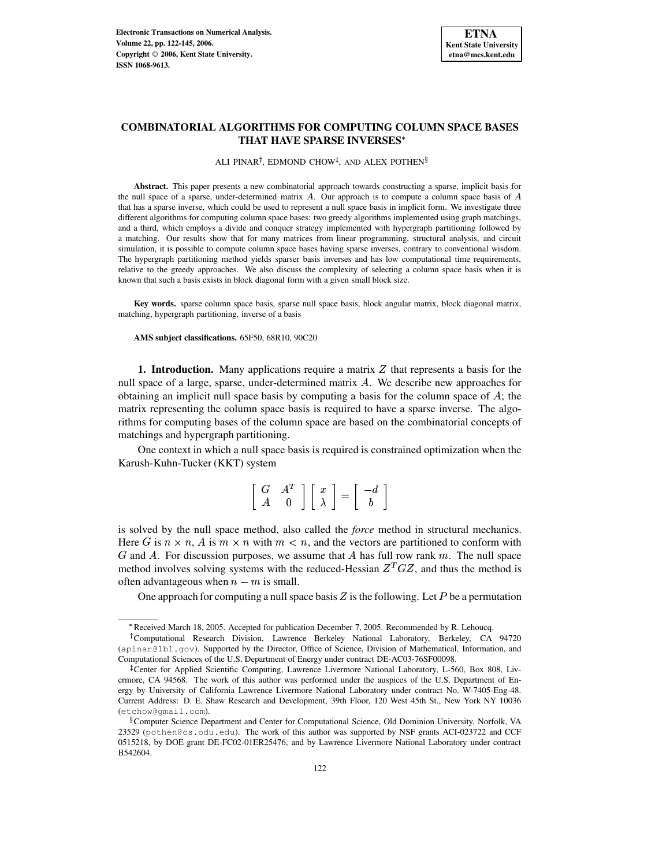# **COMBINATORIAL ALGORITHMS FOR COMPUTING COLUMN SPACE BASES THAT HAVE SPARSE INVERSES**

ALI PINAR<sup>†</sup>, EDMOND CHOW<sup>‡</sup>, AND ALEX POTHEN<sup>§</sup>

**Abstract.** This paper presents a new combinatorial approach towards constructing a sparse, implicit basis for the null space of a sparse, under-determined matrix  $A$ . Our approach is to compute a column space basis of  $A$ that has a sparse inverse, which could be used to represent a null space basis in implicit form. We investigate three different algorithms for computing column space bases: two greedy algorithms implemented using graph matchings, and a third, which employs a divide and conquer strategy implemented with hypergraph partitioning followed by a matching. Our results show that for many matrices from linear programming, structural analysis, and circuit simulation, it is possible to compute column space bases having sparse inverses, contrary to conventional wisdom. The hypergraph partitioning method yields sparser basis inverses and has low computational time requirements, relative to the greedy approaches. We also discuss the complexity of selecting a column space basis when it is known that such a basis exists in block diagonal form with a given small block size.

**Key words.** sparse column space basis, sparse null space basis, block angular matrix, block diagonal matrix, matching, hypergraph partitioning, inverse of a basis

**AMS subject classifications.** 65F50, 68R10, 90C20

**1. Introduction.** Many applications require a matrix Z that represents a basis for the null space of a large, sparse, under-determined matrix  $A$ . We describe new approaches for obtaining an implicit null space basis by computing a basis for the column space of  $\hat{A}$ ; the matrix representing the column space basis is required to have a sparse inverse. The algorithms for computing bases of the column space are based on the combinatorial concepts of matchings and hypergraph partitioning.

One context in which a null space basis is required is constrained optimization when the Karush-Kuhn-Tucker (KKT) system

| G |  |                                                                                                                                                                  |  |
|---|--|------------------------------------------------------------------------------------------------------------------------------------------------------------------|--|
|   |  | $\left[\begin{array}{cc} A^T \\ 0 \end{array}\right] \left[\begin{array}{c} x \\ \lambda \end{array}\right] = \left[\begin{array}{c} -d \\ b \end{array}\right]$ |  |

is solved by the null space method, also called the *force* method in structural mechanics. Here G is  $n \times n$ , A is  $m \times n$  with  $m < n$ , and the vectors are partitioned to conform with  $G$  and  $A$ . For discussion purposes, we assume that  $A$  has full row rank  $m$ . The null space method involves solving systems with the reduced-Hessian  $Z^T G Z$ , and thus the method is often advantageous when  $n - m$  is small.

One approach for computing a null space basis  $Z$  is the following. Let  $P$  be a permutation

<sup>\$</sup> Received March 18, 2005. Accepted for publication December 7, 2005. Recommended by R. Lehoucq.

Computational Research Division, Lawrence Berkeley National Laboratory, Berkeley, CA 94720 (apinar@lbl.gov). Supported by the Director, Office of Science, Division of Mathematical, Information, and Computational Sciences of the U.S. Department of Energy under contract DE-AC03-76SF00098.

<sup>-</sup> Center for Applied Scientific Computing, Lawrence Livermore National Laboratory, L-560, Box 808, Livermore, CA 94568. The work of this author was performed under the auspices of the U.S. Department of Energy by University of California Lawrence Livermore National Laboratory under contract No. W-7405-Eng-48. Current Address: D. E. Shaw Research and Development, 39th Floor, 120 West 45th St., New York NY 10036 (etchow@gmail.com).

 $\sqrt[8]{8}$ Computer Science Department and Center for Computational Science, Old Dominion University, Norfolk, VA 23529 (pothen@cs.odu.edu). The work of this author was supported by NSF grants ACI-023722 and CCF 0515218, by DOE grant DE-FC02-01ER25476, and by Lawrence Livermore National Laboratory under contract B542604.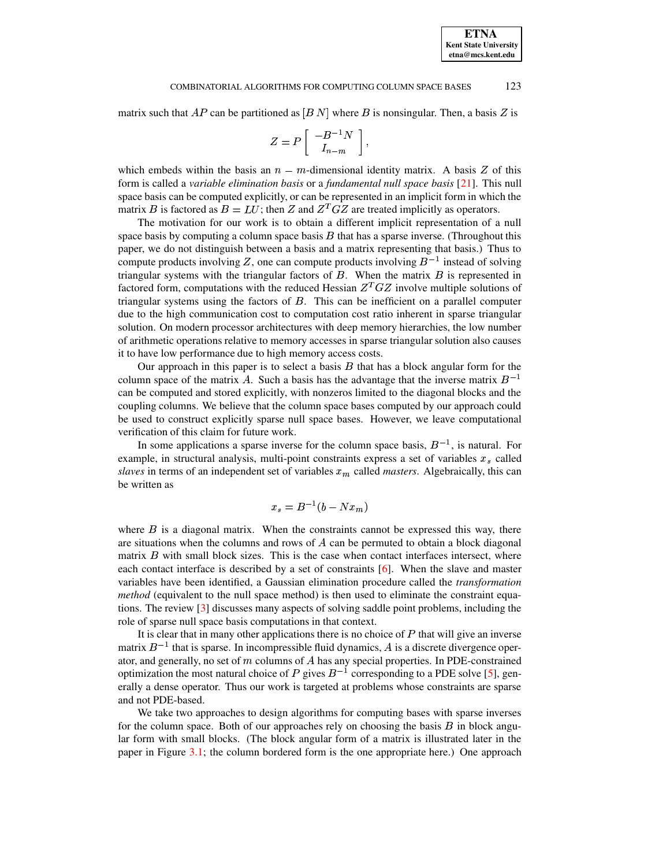#### COMBINATORIAL ALGORITHMS FOR COMPUTING COLUMN SPACE BASES 123

matrix such that  $AP$  can be partitioned as  $[BN]$  where B is nonsingular. Then, a basis Z is

$$
Z = P\left[\begin{array}{c} -B^{-1}N\\ I_{n-m} \end{array}\right],
$$

which embeds within the basis an  $n - m$ -dimensional identity matrix. A basis Z of this form is called a *variable elimination basis* or a *fundamental null space basis* [\[21\]](#page-23-0). This null space basis can be computed explicitly, or can be represented in an implicit form in which the matrix B is factored as  $B = LU$ ; then Z and  $Z^T G Z$  are treated implicitly as operators.

The motivation for our work is to obtain a different implicit representation of a null space basis by computing a column space basis  $B$  that has a sparse inverse. (Throughout this paper, we do not distinguish between a basis and a matrix representing that basis.) Thus to compute products involving Z, one can compute products involving  $B^{-1}$  instead of solving triangular systems with the triangular factors of  $B$ . When the matrix  $B$  is represented in factored form, computations with the reduced Hessian  $Z^T G Z$  involve multiple solutions of triangular systems using the factors of  $B$ . This can be inefficient on a parallel computer due to the high communication cost to computation cost ratio inherent in sparse triangular solution. On modern processor architectures with deep memory hierarchies, the low number of arithmetic operations relative to memory accesses in sparse triangular solution also causes it to have low performance due to high memory access costs.

Our approach in this paper is to select a basis  $B$  that has a block angular form for the column space of the matrix A. Such a basis has the advantage that the inverse matrix  $B^{-1}$ can be computed and stored explicitly, with nonzeros limited to the diagonal blocks and the coupling columns. We believe that the column space bases computed by our approach could be used to construct explicitly sparse null space bases. However, we leave computational verification of this claim for future work.

In some applications a sparse inverse for the column space basis,  $B^{-1}$ , is natural. For example, in structural analysis, multi-point constraints express a set of variables  $x<sub>s</sub>$  called slaves in terms of an independent set of variables  $x_m$  called *masters*. Algebraically, this can be written as

$$
x_s = B^{-1}(b - Nx_m)
$$

where  $\hat{B}$  is a diagonal matrix. When the constraints cannot be expressed this way, there are situations when the columns and rows of  $A$  can be permuted to obtain a block diagonal matrix  $B$  with small block sizes. This is the case when contact interfaces intersect, where each contact interface is described by a set of constraints [\[6\]](#page-22-0). When the slave and master variables have been identified, a Gaussian elimination procedure called the *transformation method* (equivalent to the null space method) is then used to eliminate the constraint equations. The review [\[3\]](#page-22-1) discusses many aspects of solving saddle point problems, including the role of sparse null space basis computations in that context.

It is clear that in many other applications there is no choice of  $P$  that will give an inverse matrix  $B^{-1}$  that is sparse. In incompressible fluid dynamics, A is a discrete divergence operator, and generally, no set of  $m$  columns of  $A$  has any special properties. In PDE-constrained optimization the most natural choice of P gives  $B^{-1}$  corresponding to a PDE solve [\[5\]](#page-22-2), generally a dense operator. Thus our work is targeted at problems whose constraints are sparse and not PDE-based.

We take two approaches to design algorithms for computing bases with sparse inverses for the column space. Both of our approaches rely on choosing the basis  $B$  in block angular form with small blocks. (The block angular form of a matrix is illustrated later in the paper in Figure [3.1;](#page-7-0) the column bordered form is the one appropriate here.) One approach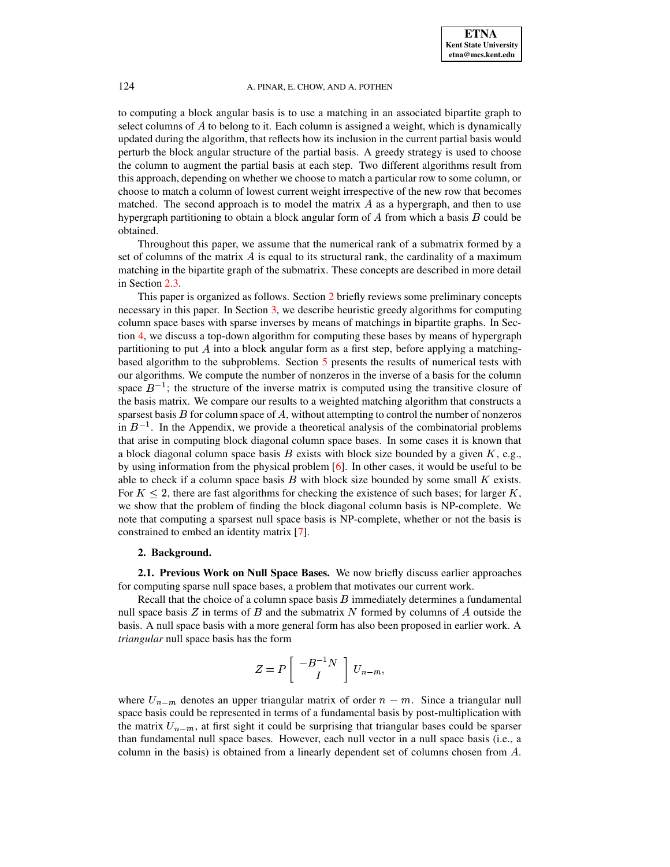to computing a block angular basis is to use a matching in an associated bipartite graph to select columns of  $A$  to belong to it. Each column is assigned a weight, which is dynamically updated during the algorithm, that reflects how its inclusion in the current partial basis would perturb the block angular structure of the partial basis. A greedy strategy is used to choose the column to augment the partial basis at each step. Two different algorithms result from this approach, depending on whether we choose to match a particular row to some column, or choose to match a column of lowest current weight irrespective of the new row that becomes matched. The second approach is to model the matrix  $A$  as a hypergraph, and then to use hypergraph partitioning to obtain a block angular form of  $A$  from which a basis  $B$  could be obtained.

Throughout this paper, we assume that the numerical rank of a submatrix formed by a set of columns of the matrix  $\vec{A}$  is equal to its structural rank, the cardinality of a maximum matching in the bipartite graph of the submatrix. These concepts are described in more detail in Section [2.3.](#page-4-0)

This paper is organized as follows. Section [2](#page-2-0) briefly reviews some preliminary concepts necessary in this paper. In Section [3,](#page-6-0) we describe heuristic greedy algorithms for computing column space bases with sparse inverses by means of matchings in bipartite graphs. In Section [4,](#page-10-0) we discuss a top-down algorithm for computing these bases by means of hypergraph partitioning to put  $\vec{A}$  into a block angular form as a first step, before applying a matchingbased algorithm to the subproblems. Section [5](#page-12-0) presents the results of numerical tests with our algorithms. We compute the number of nonzeros in the inverse of a basis for the column space  $B^{-1}$ ; the structure of the inverse matrix is computed using the transitive closure of the basis matrix. We compare our results to a weighted matching algorithm that constructs a sparsest basis  $B$  for column space of  $A$ , without attempting to control the number of nonzeros in  $B^{-1}$ . In the Appendix, we provide a theoretical analysis of the combinatorial problems that arise in computing block diagonal column space bases. In some cases it is known that a block diagonal column space basis  $B$  exists with block size bounded by a given  $K$ , e.g., by using information from the physical problem [\[6\]](#page-22-0). In other cases, it would be useful to be able to check if a column space basis  $B$  with block size bounded by some small  $K$  exists. For  $K \leq 2$ , there are fast algorithms for checking the existence of such bases; for larger K, we show that the problem of finding the block diagonal column basis is NP-complete. We note that computing a sparsest null space basis is NP-complete, whether or not the basis is constrained to embed an identity matrix [\[7\]](#page-22-3).

# **2. Background.**

<span id="page-2-0"></span>**2.1. Previous Work on Null Space Bases.** We now briefly discuss earlier approaches for computing sparse null space bases, a problem that motivates our current work.

Recall that the choice of a column space basis  $B$  immediately determines a fundamental null space basis  $Z$  in terms of  $B$  and the submatrix  $N$  formed by columns of  $A$  outside the basis. A null space basis with a more general form has also been proposed in earlier work. A *triangular* null space basis has the form

$$
Z = P \left[ \begin{array}{c} -B^{-1}N \\ I \end{array} \right] U_{n-m},
$$

where  $U_{n-m}$  denotes an upper triangular matrix of order  $n - m$ . Since a triangular null space basis could be represented in terms of a fundamental basis by post-multiplication with the matrix  $U_{n-m}$ , at first sight it could be surprising that triangular bases could be sparser than fundamental null space bases. However, each null vector in a null space basis (i.e., a column in the basis) is obtained from a linearly dependent set of columns chosen from  $A$ .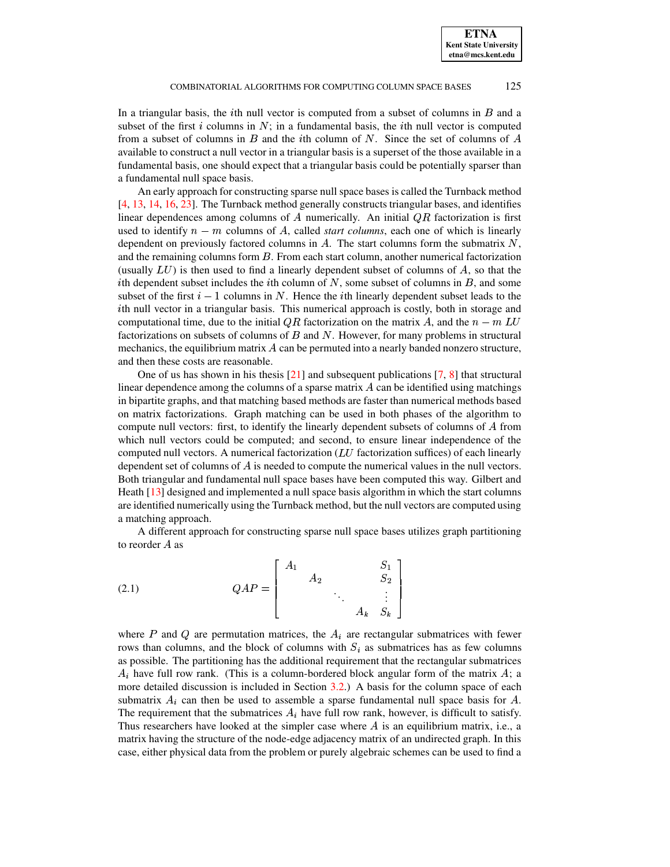In a triangular basis, the *i*th null vector is computed from a subset of columns in  $B$  and a subset of the first i columns in  $N$ ; in a fundamental basis, the ith null vector is computed from a subset of columns in  $B$  and the ith column of  $N$ . Since the set of columns of  $A$ available to construct a null vector in a triangular basis is a superset of the those available in a fundamental basis, one should expect that a triangular basis could be potentially sparser than a fundamental null space basis.

An early approach for constructing sparse null space bases is called the Turnback method [\[4,](#page-22-4) [13,](#page-22-5) [14,](#page-23-1) [16,](#page-23-2) [23\]](#page-23-3). The Turnback method generally constructs triangular bases, and identifies linear dependences among columns of  $A$  numerically. An initial  $QR$  factorization is first used to identify  $n - m$  columns of A, called *start columns*, each one of which is linearly dependent on previously factored columns in  $A$ . The start columns form the submatrix  $N$ , and the remaining columns form  $B$ . From each start column, another numerical factorization (usually  $LU$ ) is then used to find a linearly dependent subset of columns of  $A$ , so that the ith dependent subset includes the ith column of  $N$ , some subset of columns in  $B$ , and some subset of the first  $i-1$  columns in N. Hence the *i*th linearly dependent subset leads to the  $i$ th null vector in a triangular basis. This numerical approach is costly, both in storage and computational time, due to the initial QR factorization on the matrix A, and the  $n - m$  LU factorizations on subsets of columns of  $B$  and  $N$ . However, for many problems in structural mechanics, the equilibrium matrix  $A$  can be permuted into a nearly banded nonzero structure, and then these costs are reasonable.

One of us has shown in his thesis  $[21]$  and subsequent publications  $[7, 8]$  $[7, 8]$  $[7, 8]$  that structural linear dependence among the columns of a sparse matrix  $\vec{A}$  can be identified using matchings in bipartite graphs, and that matching based methods are faster than numerical methods based on matrix factorizations. Graph matching can be used in both phases of the algorithm to compute null vectors: first, to identify the linearly dependent subsets of columns of A from which null vectors could be computed; and second, to ensure linear independence of the computed null vectors. A numerical factorization ( $LU$  factorization suffices) of each linearly dependent set of columns of  $A$  is needed to compute the numerical values in the null vectors. Both triangular and fundamental null space bases have been computed this way. Gilbert and Heath [\[13\]](#page-22-5) designed and implemented a null space basis algorithm in which the start columns are identified numerically using the Turnback method, but the null vectors are computed using a matching approach.

A different approach for constructing sparse null space bases utilizes graph partitioning to reorder  $A$  as

where the contract of the contract of

(2.1) 
$$
QAP = \begin{bmatrix} A_1 & & & S_1 \\ & A_2 & & & S_2 \\ & & \ddots & & \vdots \\ & & & A_k & S_k \end{bmatrix}
$$

OP

where  $P$  and  $Q$  are permutation matrices, the  $A_i$  are rectangular submatrices with fewer rows than columns, and the block of columns with  $S_i$  as submatrices has as few columns as possible. The partitioning has the additional requirement that the rectangular submatrices  $A_i$  have full row rank. (This is a column-bordered block angular form of the matrix  $A_i$ ; a more detailed discussion is included in Section [3.2.](#page-7-1)) A basis for the column space of each submatrix  $A_i$  can then be used to assemble a sparse fundamental null space basis for A. The requirement that the submatrices  $A_i$  have full row rank, however, is difficult to satisfy. Thus researchers have looked at the simpler case where  $A$  is an equilibrium matrix, i.e., a matrix having the structure of the node-edge adjacency matrix of an undirected graph. In this case, either physical data from the problem or purely algebraic schemes can be used to find a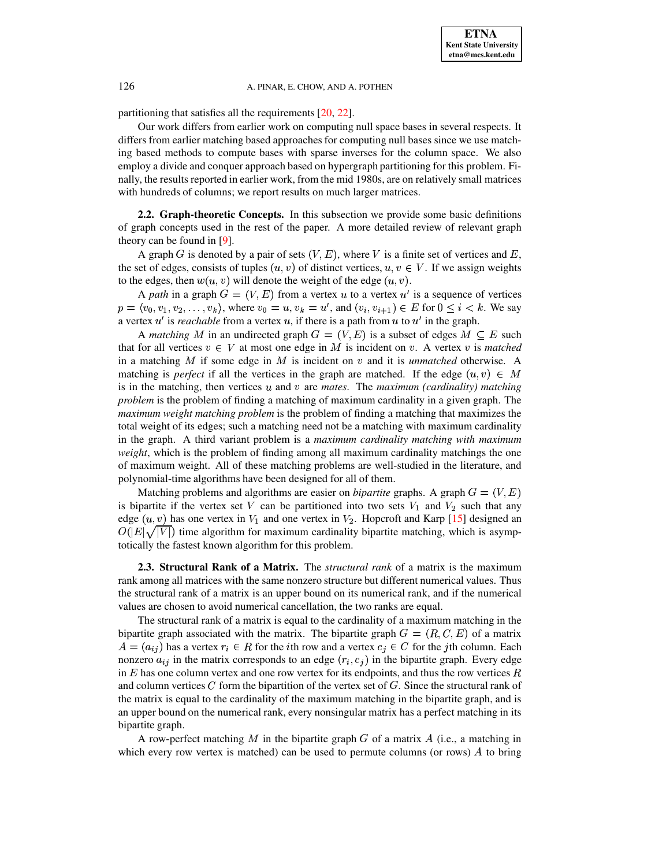partitioning that satisfies all the requirements [\[20,](#page-23-4) [22\]](#page-23-5).

Our work differs from earlier work on computing null space bases in several respects. It differs from earlier matching based approaches for computing null bases since we use matching based methods to compute bases with sparse inverses for the column space. We also employ a divide and conquer approach based on hypergraph partitioning for this problem. Finally, the results reported in earlier work, from the mid 1980s, are on relatively small matrices with hundreds of columns; we report results on much larger matrices.

**2.2. Graph-theoretic Concepts.** In this subsection we provide some basic definitions of graph concepts used in the rest of the paper. A more detailed review of relevant graph theory can be found in [\[9\]](#page-22-7).

A graph G is denoted by a pair of sets  $(V, E)$ , where V is a finite set of vertices and E, the set of edges, consists of tuples  $(u, v)$  of distinct vertices,  $u, v \in V$ . If we assign weights to the edges, then  $w(u, v)$  will denote the weight of the edge  $(u, v)$ .

A *path* in a graph  $G = (V, E)$  from a vertex u to a vertex u' is a sequence of vertices  $p = \langle v_0, v_1, v_2, \dots, v_k \rangle$ , where  $v_0 = u, v_k = u'$ , and  $(v_i, v_{i+1}) \in E$  for  $0 \le i \le k$ . We say a vertex  $u'$  is *reachable* from a vertex  $u$ , if there is a path from  $u$  to  $u'$  in the graph.

A *matching* M in an undirected graph  $G = (V, E)$  is a subset of edges  $M \subseteq E$  such that for all vertices  $v \in V$  at most one edge in M is incident on v. A vertex v is *matched* in a matching M if some edge in M is incident on  $v$  and it is *unmatched* otherwise. A matching is *perfect* if all the vertices in the graph are matched. If the edge  $(u, v) \in M$  $\lim_{x \to \infty} \frac{1}{x} \int_{0}^{x} f(x) dx$  and  $\lim_{x \to \infty} \frac{1}{x} \int_{0}^{x} \frac{1}{x} \int_{0}^{x} f(x) dx$   $\lim_{x \to \infty} \frac{1}{x} \int_{0}^{x} \frac{1}{x} \int_{0}^{x} f(x) dx$  and  $\lim_{x \to \infty} \frac{1}{x} \int_{0}^{x} \frac{1}{x} \int_{0}^{x} f(x) dx$ problem is the problem of finding a matching of maximum cardinality in a given graph. The *maximum weight matching problem* is the problem of finding a matching that maximizes the total weight of its edges; such a matching need not be a matching with maximum cardinality in the graph. A third variant problem is a *maximum cardinality matching with maximum weight*, which is the problem of finding among all maximum cardinality matchings the one of maximum weight. All of these matching problems are well-studied in the literature, and polynomial-time algorithms have been designed for all of them.

Matching problems and algorithms are easier on *bipartite* graphs. A graph  $G = (V, E)$ is bipartite if the vertex set  $V$  can be partitioned into two sets  $V_1$  and  $V_2$  such that any edge  $(u, v)$  has one vertex in  $V_1$  and one vertex in  $V_2$ . Hopcroft and Karp [\[15\]](#page-23-6) designed an  $O(|E| \sqrt{|V|})$  time algorithm for maximum cardinality bipartite matching, which is asymptotically the fastest known algorithm for this problem.

<span id="page-4-0"></span>**2.3. Structural Rank of a Matrix.** The *structural rank* of a matrix is the maximum rank among all matrices with the same nonzero structure but different numerical values. Thus the structural rank of a matrix is an upper bound on its numerical rank, and if the numerical values are chosen to avoid numerical cancellation, the two ranks are equal.

The structural rank of a matrix is equal to the cardinality of a maximum matching in the bipartite graph associated with the matrix. The bipartite graph  $G = (R, C, E)$  of a matrix  $A = (a_{ij})$  has a vertex  $r_i \in R$  for the *i*th row and a vertex  $c_j \in C$  for the *j*th column. Each nonzero  $a_{ij}$  in the matrix corresponds to an edge  $(r_i, c_j)$  in the bipartite graph. Every edge in E has one column vertex and one row vertex for its endpoints, and thus the row vertices  $R$ and column vertices  $C$  form the bipartition of the vertex set of  $G$ . Since the structural rank of the matrix is equal to the cardinality of the maximum matching in the bipartite graph, and is an upper bound on the numerical rank, every nonsingular matrix has a perfect matching in its bipartite graph.

A row-perfect matching M in the bipartite graph  $G$  of a matrix  $A$  (i.e., a matching in which every row vertex is matched) can be used to permute columns (or rows)  $\hat{A}$  to bring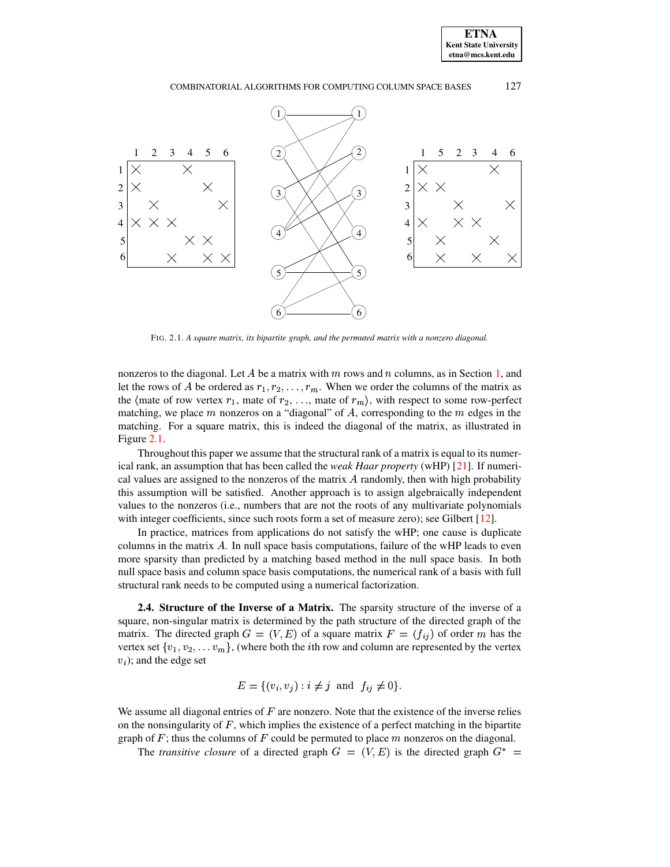## COMBINATORIAL ALGORITHMS FOR COMPUTING COLUMN SPACE BASES 127



FIG. 2.1. *A square matrix, its bipartite graph, and the permuted matrix with a nonzero diagonal.*

<span id="page-5-0"></span>nonzeros to the diagonal. Let A be a matrix with  $m$  rows and  $n$  columns, as in Section [1,](#page-19-0) and let the rows of A be ordered as  $r_1, r_2, \ldots, r_m$ . When we order the columns of the matrix as the  $\langle$  mate of row vertex  $r_1$ , mate of  $r_2, \ldots$ , mate of  $r_m$ , with respect to some row-perfect matching, we place m nonzeros on a "diagonal" of A, corresponding to the m edges in the matching. For a square matrix, this is indeed the diagonal of the matrix, as illustrated in Figure [2.1.](#page-5-0)

Throughout this paper we assume that the structural rank of a matrix is equal to its numerical rank, an assumption that has been called the *weak Haar property* (wHP) [\[21\]](#page-23-0). If numerical values are assigned to the nonzeros of the matrix  $\vec{A}$  randomly, then with high probability this assumption will be satisfied. Another approach is to assign algebraically independent values to the nonzeros (i.e., numbers that are not the roots of any multivariate polynomials with integer coefficients, since such roots form a set of measure zero); see Gilbert [\[12\]](#page-22-8).

In practice, matrices from applications do not satisfy the wHP; one cause is duplicate columns in the matrix  $A$ . In null space basis computations, failure of the wHP leads to even more sparsity than predicted by a matching based method in the null space basis. In both null space basis and column space basis computations, the numerical rank of a basis with full structural rank needs to be computed using a numerical factorization.

<span id="page-5-1"></span>**2.4. Structure of the Inverse of a Matrix.** The sparsity structure of the inverse of a square, non-singular matrix is determined by the path structure of the directed graph of the matrix. The directed graph  $G = (V, E)$  of a square matrix  $F = (f_{ij})$  of order m has the vertex set  $\{v_1, v_2, \ldots v_m\}$ , (where both the *i*th row and column are represented by the vertex  $v_i$ ; and the edge set

$$
E = \{(v_i, v_j) : i \neq j \text{ and } f_{ij} \neq 0\}.
$$

We assume all diagonal entries of  $F$  are nonzero. Note that the existence of the inverse relies on the nonsingularity of  $F$ , which implies the existence of a perfect matching in the bipartite graph of  $F$ ; thus the columns of  $F$  could be permuted to place  $m$  nonzeros on the diagonal.

The *transitive* closure of a directed graph  $G = (V, E)$  is the directed graph  $G^* =$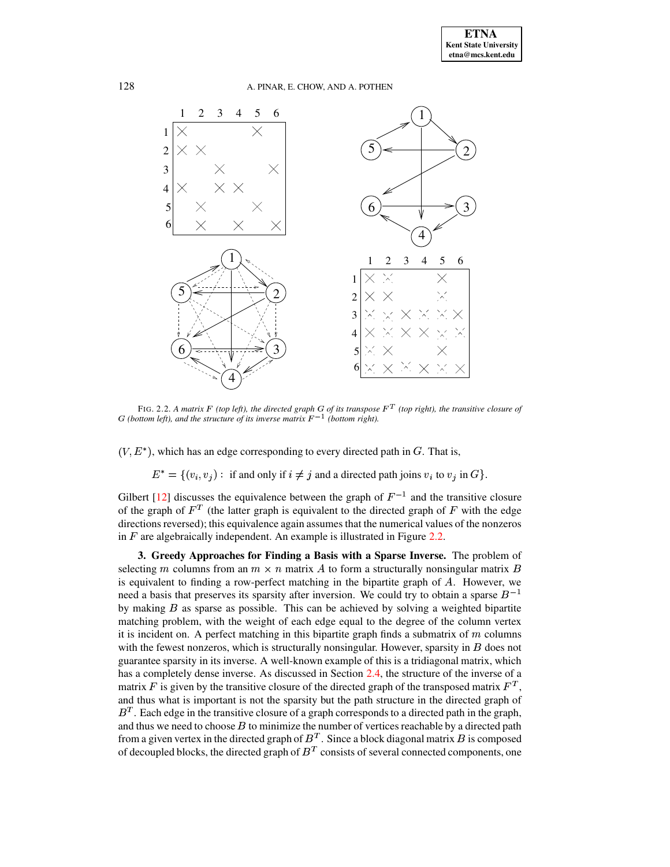

<span id="page-6-1"></span>FIG. 2.2. A matrix F (top left), the directed graph G of its transpose  $F<sup>T</sup>$  (top right), the transitive closure of *(G (bottom left), and the structure of its inverse matrix*  $F^{-1}$  *(bottom right).* 

 $(V, E^*)$ , which has an edge corresponding to every directed path in G. That is,

 $^* = \{(v_i, v_j) : \text{ if and only if } i \neq j \text{ and a directed path joins } v_i \text{ to } v_j \text{ in } G\}.$ 

Gilbert [\[12\]](#page-22-8) discusses the equivalence between the graph of  $F^{-1}$  and the transitive closure of the graph of  $F<sup>T</sup>$  (the latter graph is equivalent to the directed graph of F with the edge directions reversed); this equivalence again assumes that the numerical values of the nonzeros in  $F$  are algebraically independent. An example is illustrated in Figure [2.2.](#page-6-1)

<span id="page-6-0"></span>**3. Greedy Approaches for Finding a Basis with a Sparse Inverse.** The problem of selecting *m* columns from an  $m \times n$  matrix A to form a structurally nonsingular matrix B is equivalent to finding a row-perfect matching in the bipartite graph of  $A$ . However, we need a basis that preserves its sparsity after inversion. We could try to obtain a sparse  $B^{-1}$ by making  $B$  as sparse as possible. This can be achieved by solving a weighted bipartite matching problem, with the weight of each edge equal to the degree of the column vertex it is incident on. A perfect matching in this bipartite graph finds a submatrix of  $m$  columns with the fewest nonzeros, which is structurally nonsingular. However, sparsity in  $\hat{B}$  does not guarantee sparsity in its inverse. A well-known example of this is a tridiagonal matrix, which has a completely dense inverse. As discussed in Section [2.4,](#page-5-1) the structure of the inverse of a matrix F is given by the transitive closure of the directed graph of the transposed matrix  $F<sup>T</sup>$ , and thus what is important is not the sparsity but the path structure in the directed graph of  $B<sup>T</sup>$ . Each edge in the transitive closure of a graph corresponds to a directed path in the graph, and thus we need to choose  $B$  to minimize the number of vertices reachable by a directed path from a given vertex in the directed graph of  $B<sup>T</sup>$ . Since a block diagonal matrix  $B$  is composed of decoupled blocks, the directed graph of  $B<sup>T</sup>$  consists of several connected components, one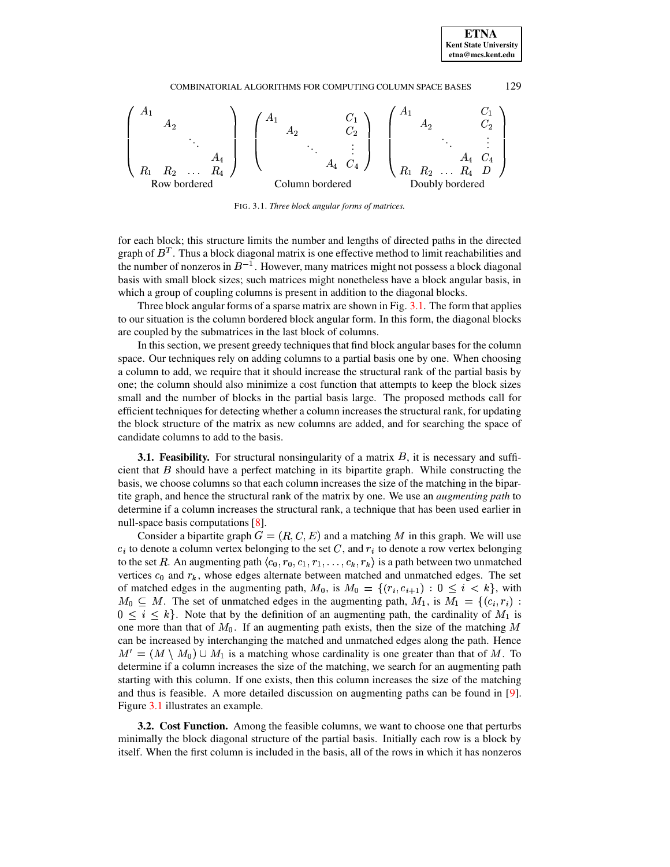# COMBINATORIAL ALGORITHMS FOR COMPUTING COLUMN SPACE BASES 129



<span id="page-7-0"></span>FIG. 3.1. *Three block angular forms of matrices.*

for each block; this structure limits the number and lengths of directed paths in the directed graph of  $B<sup>T</sup>$ . Thus a block diagonal matrix is one effective method to limit reachabilities and the number of nonzeros in  $B^{-1}$ . However, many matrices might not possess a block diagonal basis with small block sizes; such matrices might nonetheless have a block angular basis, in which a group of coupling columns is present in addition to the diagonal blocks.

Three block angular forms of a sparse matrix are shown in Fig. [3.1.](#page-7-0) The form that applies to our situation is the column bordered block angular form. In this form, the diagonal blocks are coupled by the submatrices in the last block of columns.

In this section, we present greedy techniques that find block angular bases for the column space. Our techniques rely on adding columns to a partial basis one by one. When choosing a column to add, we require that it should increase the structural rank of the partial basis by one; the column should also minimize a cost function that attempts to keep the block sizes small and the number of blocks in the partial basis large. The proposed methods call for efficient techniques for detecting whether a column increases the structural rank, for updating the block structure of the matrix as new columns are added, and for searching the space of candidate columns to add to the basis.

<span id="page-7-2"></span>**3.1. Feasibility.** For structural nonsingularity of a matrix  $B$ , it is necessary and sufficient that  $B$  should have a perfect matching in its bipartite graph. While constructing the basis, we choose columns so that each column increases the size of the matching in the bipartite graph, and hence the structural rank of the matrix by one. We use an *augmenting path* to determine if a column increases the structural rank, a technique that has been used earlier in null-space basis computations [\[8\]](#page-22-6).

Consider a bipartite graph  $G = (R, C, E)$  and a matching M in this graph. We will use  $c_i$  to denote a column vertex belonging to the set C, and  $r_i$  to denote a row vertex belonging to the set R. An augmenting path  $\langle c_0, r_0, c_1, r_1, \ldots, c_k, r_k \rangle$  is a path between two unmatched vertices  $c_0$  and  $r_k$ , whose edges alternate between matched and unmatched edges. The set of matched edges in the augmenting path,  $M_0$ , is  $M_0 = \{(r_i, c_{i+1}) : 0 \leq i \leq k\}$ , with  $M_0 \subseteq M$ . The set of unmatched edges in the augmenting path,  $M_1$ , is  $\overline{M}_1 = \{(c_i, r_i) :$  $0 \leq i \leq k$ . Note that by the definition of an augmenting path, the cardinality of  $M_1$  is one more than that of  $M_0$ . If an augmenting path exists, then the size of the matching M can be increased by interchanging the matched and unmatched edges along the path. Hence  $M' = (M \setminus M_0) \cup M_1$  is a matching whose cardinality is one greater than that of M. To determine if a column increases the size of the matching, we search for an augmenting path starting with this column. If one exists, then this column increases the size of the matching and thus is feasible. A more detailed discussion on augmenting paths can be found in [\[9\]](#page-22-7). Figure [3.1](#page-7-2) illustrates an example.

<span id="page-7-1"></span>**3.2. Cost Function.** Among the feasible columns, we want to choose one that perturbs minimally the block diagonal structure of the partial basis. Initially each row is a block by itself. When the first column is included in the basis, all of the rows in which it has nonzeros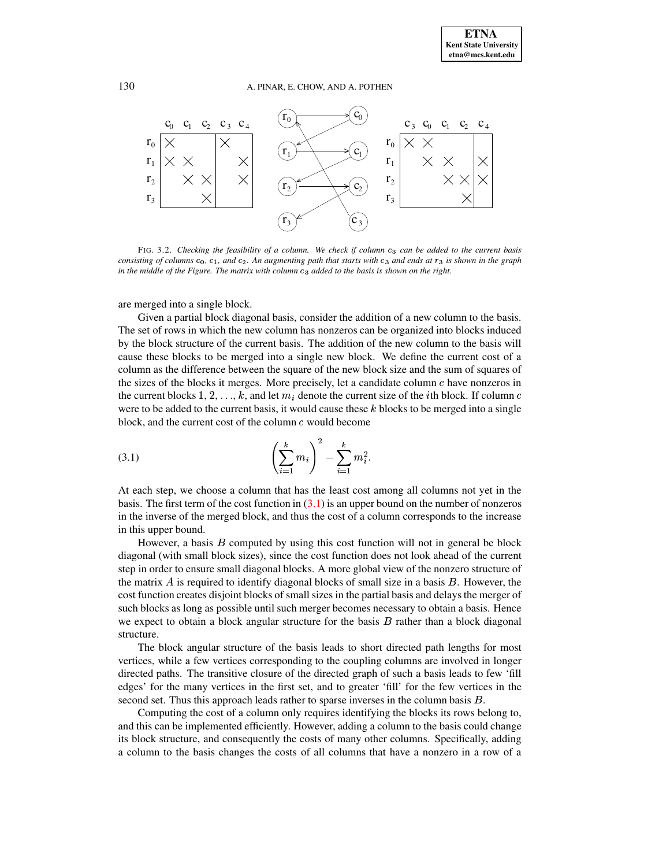

FIG. 3.2. *Checking the feasibility of a column. We check if column* ³k´ *can be added to the current basis* consisting of columns  $c_0$ ,  $c_1$ , and  $c_2$ . An augmenting path that starts with  $c_3$  and ends at  $r_3$  is shown in the graph in the middle of the Figure. The matrix with column c3 added to the basis is shown on the right.

are merged into a single block.

Given a partial block diagonal basis, consider the addition of a new column to the basis. The set of rows in which the new column has nonzeros can be organized into blocks induced by the block structure of the current basis. The addition of the new column to the basis will cause these blocks to be merged into a single new block. We define the current cost of a column as the difference between the square of the new block size and the sum of squares of the sizes of the blocks it merges. More precisely, let a candidate column  $c$  have nonzeros in the current blocks  $1, 2, \ldots, k$ , and let  $m_i$  denote the current size of the *i*th block. If column c were to be added to the current basis, it would cause these  $k$  blocks to be merged into a single block, and the current cost of the column  $c$  would become

<span id="page-8-0"></span>(3.1) 
$$
\left(\sum_{i=1}^{k} m_i\right)^2 - \sum_{i=1}^{k} m_i^2.
$$

At each step, we choose a column that has the least cost among all columns not yet in the basis. The first term of the cost function in  $(3.1)$  is an upper bound on the number of nonzeros in the inverse of the merged block, and thus the cost of a column corresponds to the increase in this upper bound.

However, a basis  $B$  computed by using this cost function will not in general be block diagonal (with small block sizes), since the cost function does not look ahead of the current step in order to ensure small diagonal blocks. A more global view of the nonzero structure of the matrix  $\vec{A}$  is required to identify diagonal blocks of small size in a basis  $\vec{B}$ . However, the cost function creates disjoint blocks of small sizes in the partial basis and delays the merger of such blocks as long as possible until such merger becomes necessary to obtain a basis. Hence we expect to obtain a block angular structure for the basis  $B$  rather than a block diagonal structure.

The block angular structure of the basis leads to short directed path lengths for most vertices, while a few vertices corresponding to the coupling columns are involved in longer directed paths. The transitive closure of the directed graph of such a basis leads to few 'fill edges' for the many vertices in the first set, and to greater 'fill' for the few vertices in the second set. Thus this approach leads rather to sparse inverses in the column basis  $B$ .

Computing the cost of a column only requires identifying the blocks its rows belong to, and this can be implemented efficiently. However, adding a column to the basis could change its block structure, and consequently the costs of many other columns. Specifically, adding a column to the basis changes the costs of all columns that have a nonzero in a row of a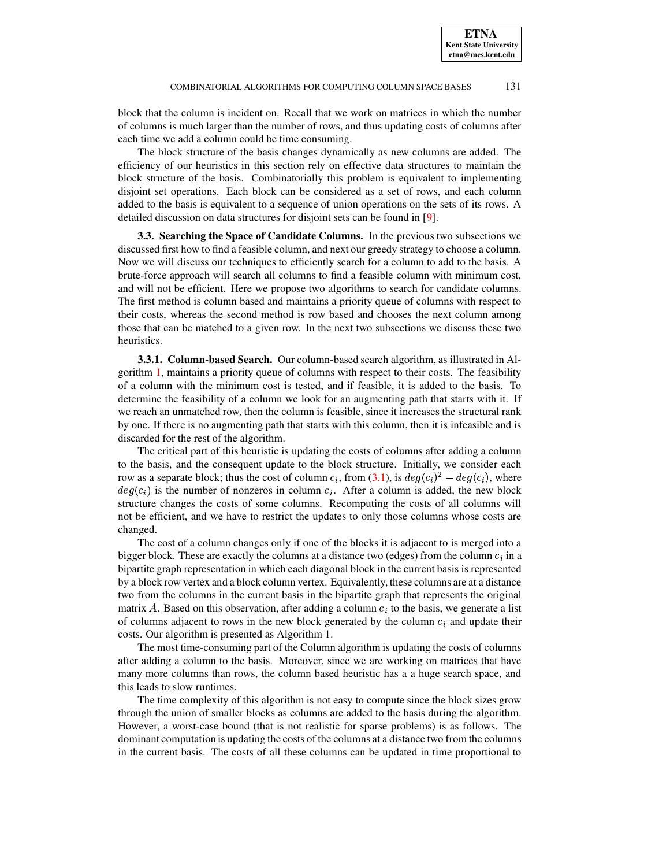block that the column is incident on. Recall that we work on matrices in which the number of columns is much larger than the number of rows, and thus updating costs of columns after each time we add a column could be time consuming.

The block structure of the basis changes dynamically as new columns are added. The efficiency of our heuristics in this section rely on effective data structures to maintain the block structure of the basis. Combinatorially this problem is equivalent to implementing disjoint set operations. Each block can be considered as a set of rows, and each column added to the basis is equivalent to a sequence of union operations on the sets of its rows. A detailed discussion on data structures for disjoint sets can be found in [\[9\]](#page-22-7).

**3.3. Searching the Space of Candidate Columns.** In the previous two subsections we discussed first how to find a feasible column, and next our greedy strategy to choose a column. Now we will discuss our techniques to efficiently search for a column to add to the basis. A brute-force approach will search all columns to find a feasible column with minimum cost, and will not be efficient. Here we propose two algorithms to search for candidate columns. The first method is column based and maintains a priority queue of columns with respect to their costs, whereas the second method is row based and chooses the next column among those that can be matched to a given row. In the next two subsections we discuss these two heuristics.

<span id="page-9-0"></span>**3.3.1. Column-based Search.** Our column-based search algorithm, as illustrated in Algorithm [1,](#page-10-1) maintains a priority queue of columns with respect to their costs. The feasibility of a column with the minimum cost is tested, and if feasible, it is added to the basis. To determine the feasibility of a column we look for an augmenting path that starts with it. If we reach an unmatched row, then the column is feasible, since it increases the structural rank by one. If there is no augmenting path that starts with this column, then it is infeasible and is discarded for the rest of the algorithm.

The critical part of this heuristic is updating the costs of columns after adding a column to the basis, and the consequent update to the block structure. Initially, we consider each row as a separate block; thus the cost of column  $c_i$ , from [\(3.1\)](#page-8-0), is  $deg(c_i)^2 - deg(c_i)$ , where ¦¼m½  $(c_i)$  is the number of nonzeros in column  $c_i$ . After a column is added, the new block structure changes the costs of some columns. Recomputing the costs of all columns will not be efficient, and we have to restrict the updates to only those columns whose costs are changed.

The cost of a column changes only if one of the blocks it is adjacent to is merged into a bigger block. These are exactly the columns at a distance two (edges) from the column  $c_i$  in a bipartite graph representation in which each diagonal block in the current basis is represented by a block row vertex and a block column vertex. Equivalently, these columns are at a distance two from the columns in the current basis in the bipartite graph that represents the original matrix A. Based on this observation, after adding a column  $c<sub>i</sub>$  to the basis, we generate a list of columns adjacent to rows in the new block generated by the column  $c_i$  and update their costs. Our algorithm is presented as Algorithm 1.

The most time-consuming part of the Column algorithm is updating the costs of columns after adding a column to the basis. Moreover, since we are working on matrices that have many more columns than rows, the column based heuristic has a a huge search space, and this leads to slow runtimes.

The time complexity of this algorithm is not easy to compute since the block sizes grow through the union of smaller blocks as columns are added to the basis during the algorithm. However, a worst-case bound (that is not realistic for sparse problems) is as follows. The dominant computation is updating the costs of the columns at a distance two from the columns in the current basis. The costs of all these columns can be updated in time proportional to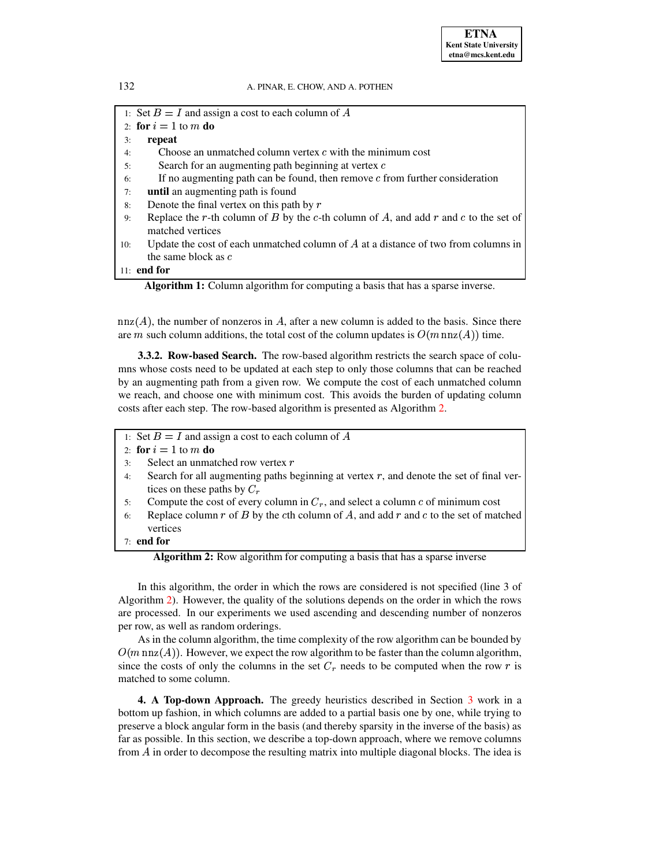1: Set  $B = I$  and assign a cost to each column of A

2: **for**  $i = 1$  to  $m$  **do** 

3: **repeat**

- 4: Choose an unmatched column vertex  $c$  with the minimum cost
- 5: Search for an augmenting path beginning at vertex  $c$
- $6:$  If no augmenting path can be found, then remove  $c$  from further consideration
- 7: **until** an augmenting path is found
- 8: Denote the final vertex on this path by  $r$
- 9: Replace the r-th column of B by the c-th column of A, and add  $r$  and  $c$  to the set of matched vertices
- 10: Update the cost of each unmatched column of  $A$  at a distance of two from columns in the same block as  $c$

11: **end for**

**Algorithm 1:** Column algorithm for computing a basis that has a sparse inverse.

 $nnz(A)$ , the number of nonzeros in A, after a new column is added to the basis. Since there are m such column additions, the total cost of the column updates is  $O(m \text{ nnz}(A))$  time.

<span id="page-10-3"></span>**3.3.2. Row-based Search.** The row-based algorithm restricts the search space of columns whose costs need to be updated at each step to only those columns that can be reached by an augmenting path from a given row. We compute the cost of each unmatched column we reach, and choose one with minimum cost. This avoids the burden of updating column costs after each step. The row-based algorithm is presented as Algorithm [2.](#page-10-2)

- <span id="page-10-2"></span>1: Set  $B = I$  and assign a cost to each column of A
- 2: **for**  $i = 1$  to  $m$  **do**
- 3: Select an unmatched row vertex  $r$
- 4: Search for all augmenting paths beginning at vertex  $r$ , and denote the set of final vertices on these paths by  $C_r$
- 5: Compute the cost of every column in  $C_r$ , and select a column  $c$  of minimum cost
- Replace column  $r$  of  $B$  by the cth column of  $A$ , and add  $r$  and  $c$  to the set of matched vertices

# 7: **end for**

**Algorithm 2:** Row algorithm for computing a basis that has a sparse inverse

In this algorithm, the order in which the rows are considered is not specified (line 3 of Algorithm [2\)](#page-10-2). However, the quality of the solutions depends on the order in which the rows are processed. In our experiments we used ascending and descending number of nonzeros per row, as well as random orderings.

As in the column algorithm, the time complexity of the row algorithm can be bounded by  $O(m \text{ nnz}(A))$ . However, we expect the row algorithm to be faster than the column algorithm, since the costs of only the columns in the set  $C_r$  needs to be computed when the row r is matched to some column.

<span id="page-10-0"></span>**4. A Top-down Approach.** The greedy heuristics described in Section [3](#page-6-0) work in a bottom up fashion, in which columns are added to a partial basis one by one, while trying to preserve a block angular form in the basis (and thereby sparsity in the inverse of the basis) as far as possible. In this section, we describe a top-down approach, where we remove columns from  $\vec{A}$  in order to decompose the resulting matrix into multiple diagonal blocks. The idea is

<span id="page-10-1"></span>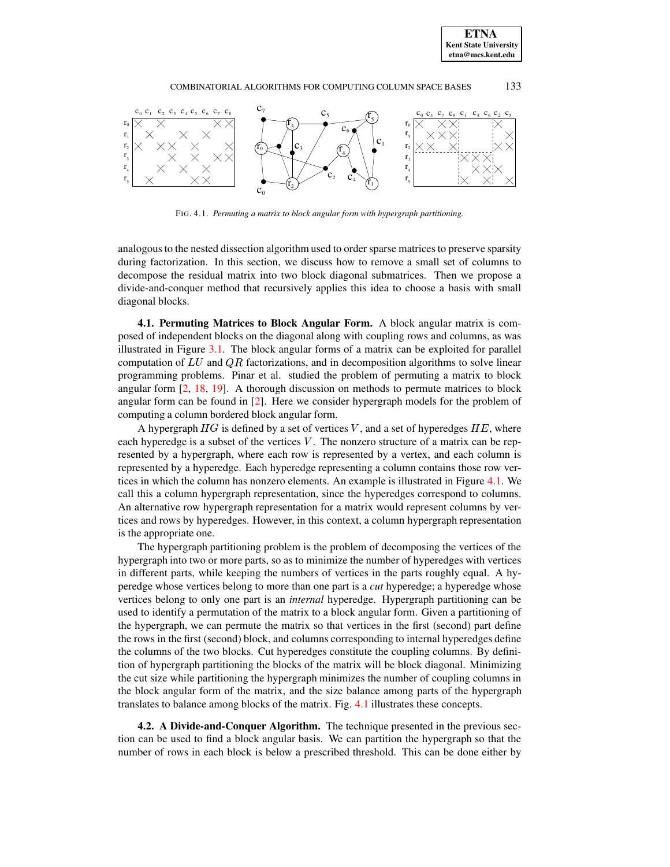# COMBINATORIAL ALGORITHMS FOR COMPUTING COLUMN SPACE BASES 133



FIG. 4.1. *Permuting a matrix to block angular form with hypergraph partitioning.*

<span id="page-11-0"></span>analogous to the nested dissection algorithm used to order sparse matrices to preserve sparsity during factorization. In this section, we discuss how to remove a small set of columns to decompose the residual matrix into two block diagonal submatrices. Then we propose a divide-and-conquer method that recursively applies this idea to choose a basis with small diagonal blocks.

<span id="page-11-1"></span>**4.1. Permuting Matrices to Block Angular Form.** A block angular matrix is composed of independent blocks on the diagonal along with coupling rows and columns, as was illustrated in Figure [3.1.](#page-7-0) The block angular forms of a matrix can be exploited for parallel computation of  $LU$  and  $QR$  factorizations, and in decomposition algorithms to solve linear programming problems. Pinar et al. studied the problem of permuting a matrix to block angular form [\[2,](#page-22-9) [18,](#page-23-7) [19\]](#page-23-8). A thorough discussion on methods to permute matrices to block angular form can be found in [\[2\]](#page-22-9). Here we consider hypergraph models for the problem of computing a column bordered block angular form.

A hypergraph  $HG$  is defined by a set of vertices V, and a set of hyperedges  $HE$ , where each hyperedge is a subset of the vertices  $V$ . The nonzero structure of a matrix can be represented by a hypergraph, where each row is represented by a vertex, and each column is represented by a hyperedge. Each hyperedge representing a column contains those row vertices in which the column has nonzero elements. An example is illustrated in Figure [4.1.](#page-11-0) We call this a column hypergraph representation, since the hyperedges correspond to columns. An alternative row hypergraph representation for a matrix would represent columns by vertices and rows by hyperedges. However, in this context, a column hypergraph representation is the appropriate one.

The hypergraph partitioning problem is the problem of decomposing the vertices of the hypergraph into two or more parts, so as to minimize the number of hyperedges with vertices in different parts, while keeping the numbers of vertices in the parts roughly equal. A hyperedge whose vertices belong to more than one part is a *cut* hyperedge; a hyperedge whose vertices belong to only one part is an *internal* hyperedge. Hypergraph partitioning can be used to identify a permutation of the matrix to a block angular form. Given a partitioning of the hypergraph, we can permute the matrix so that vertices in the first (second) part define the rows in the first (second) block, and columns corresponding to internal hyperedges define the columns of the two blocks. Cut hyperedges constitute the coupling columns. By definition of hypergraph partitioning the blocks of the matrix will be block diagonal. Minimizing the cut size while partitioning the hypergraph minimizes the number of coupling columns in the block angular form of the matrix, and the size balance among parts of the hypergraph translates to balance among blocks of the matrix. Fig. [4.1](#page-11-0) illustrates these concepts.

**4.2. A Divide-and-Conquer Algorithm.** The technique presented in the previous section can be used to find a block angular basis. We can partition the hypergraph so that the number of rows in each block is below a prescribed threshold. This can be done either by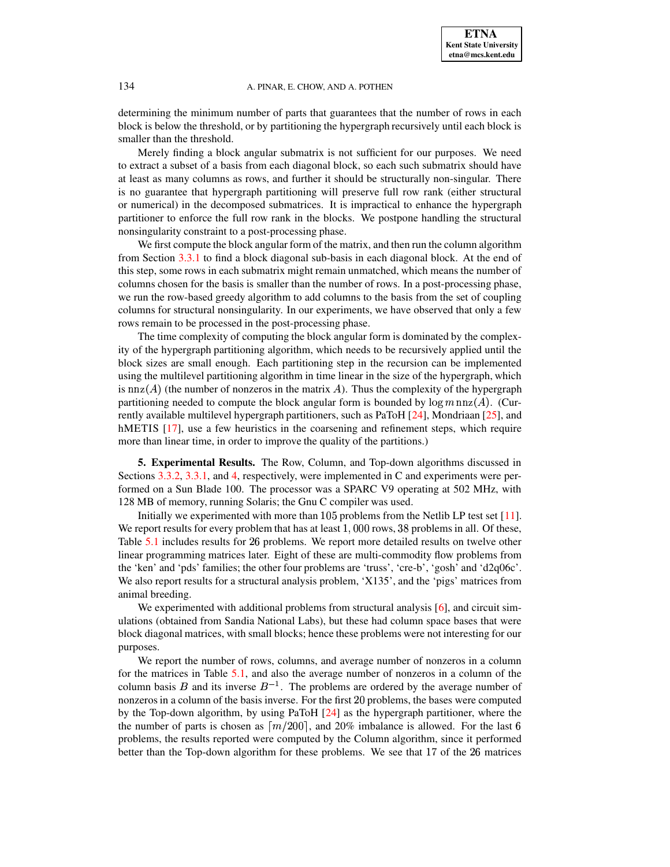determining the minimum number of parts that guarantees that the number of rows in each block is below the threshold, or by partitioning the hypergraph recursively until each block is smaller than the threshold.

Merely finding a block angular submatrix is not sufficient for our purposes. We need to extract a subset of a basis from each diagonal block, so each such submatrix should have at least as many columns as rows, and further it should be structurally non-singular. There is no guarantee that hypergraph partitioning will preserve full row rank (either structural or numerical) in the decomposed submatrices. It is impractical to enhance the hypergraph partitioner to enforce the full row rank in the blocks. We postpone handling the structural nonsingularity constraint to a post-processing phase.

We first compute the block angular form of the matrix, and then run the column algorithm from Section [3.3.1](#page-9-0) to find a block diagonal sub-basis in each diagonal block. At the end of this step, some rows in each submatrix might remain unmatched, which means the number of columns chosen for the basis is smaller than the number of rows. In a post-processing phase, we run the row-based greedy algorithm to add columns to the basis from the set of coupling columns for structural nonsingularity. In our experiments, we have observed that only a few rows remain to be processed in the post-processing phase.

The time complexity of computing the block angular form is dominated by the complexity of the hypergraph partitioning algorithm, which needs to be recursively applied until the block sizes are small enough. Each partitioning step in the recursion can be implemented using the multilevel partitioning algorithm in time linear in the size of the hypergraph, which is nnz $(A)$  (the number of nonzeros in the matrix A). Thus the complexity of the hypergraph partitioning needed to compute the block angular form is bounded by  $\log m \operatorname{nnz}(A)$ . (Cur-rently available multilevel hypergraph partitioners, such as PaToH [\[24\]](#page-23-9), Mondriaan [\[25\]](#page-23-10), and hMETIS [\[17\]](#page-23-11), use a few heuristics in the coarsening and refinement steps, which require more than linear time, in order to improve the quality of the partitions.)

<span id="page-12-0"></span>**5. Experimental Results.** The Row, Column, and Top-down algorithms discussed in Sections [3.3.2,](#page-10-3) [3.3.1,](#page-9-0) and [4,](#page-10-0) respectively, were implemented in C and experiments were performed on a Sun Blade 100. The processor was a SPARC V9 operating at 502 MHz, with 128 MB of memory, running Solaris; the Gnu C compiler was used.

Initially we experimented with more than  $105$  problems from the Netlib LP test set [\[11\]](#page-22-10). We report results for every problem that has at least  $1,000$  rows,  $38$  problems in all. Of these, Table [5.1](#page-13-0) includes results for 26 problems. We report more detailed results on twelve other linear programming matrices later. Eight of these are multi-commodity flow problems from the 'ken' and 'pds' families; the other four problems are 'truss', 'cre-b', 'gosh' and 'd2q06c'. We also report results for a structural analysis problem, 'X135', and the 'pigs' matrices from animal breeding.

We experimented with additional problems from structural analysis [\[6\]](#page-22-0), and circuit simulations (obtained from Sandia National Labs), but these had column space bases that were block diagonal matrices, with small blocks; hence these problems were not interesting for our purposes.

We report the number of rows, columns, and average number of nonzeros in a column for the matrices in Table [5.1,](#page-13-0) and also the average number of nonzeros in a column of the column basis B and its inverse  $B^{-1}$ . The problems are ordered by the average number of nonzeros in a column of the basis inverse. For the first 20 problems, the bases were computed by the Top-down algorithm, by using PaToH [\[24\]](#page-23-9) as the hypergraph partitioner, where the the number of parts is chosen as  $\lceil m/200 \rceil$ , and 20% imbalance is allowed. For the last 6 problems, the results reported were computed by the Column algorithm, since it performed better than the Top-down algorithm for these problems. We see that 17 of the 26 matrices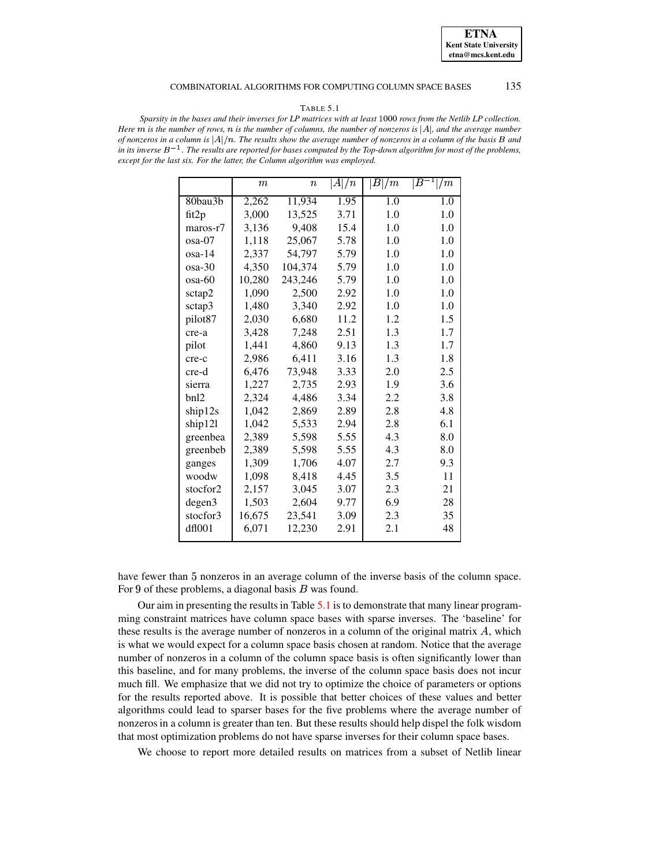#### COMBINATORIAL ALGORITHMS FOR COMPUTING COLUMN SPACE BASES 135

#### TABLE 5.1

<span id="page-13-0"></span>Sparsity in the bases and their inverses for LP matrices with at least 1000 rows from the Netlib LP collection. Here  $m$  is the number of rows,  $n$  is the number of columns, the number of nonzeros is  $|A|$ , and the average number of nonzeros in a column is  $|A|/n$ . The results show the average number of nonzeros in a column of the basis B and in its inverse  $B^{-1}$ . The results are reported for bases computed by the Top-down algorithm for most of the problems, *except for the last six. For the latter, the Column algorithm was employed.*

|            | $\boldsymbol{m}$ | $\it n$ | A /n | B /m | $B^{\cdot}$<br>/m |
|------------|------------------|---------|------|------|-------------------|
| 80bau3b    | 2,262            | 11,934  | 1.95 | 1.0  | 1.0               |
| fit2p      | 3,000            | 13,525  | 3.71 | 1.0  | 1.0               |
| $maros-r7$ | 3,136            | 9,408   | 15.4 | 1.0  | 1.0               |
| osa-07     | 1,118            | 25,067  | 5.78 | 1.0  | 1.0               |
| osa-14     | 2,337            | 54,797  | 5.79 | 1.0  | 1.0               |
| osa-30     | 4,350            | 104,374 | 5.79 | 1.0  | 1.0               |
| osa-60     | 10,280           | 243,246 | 5.79 | 1.0  | 1.0               |
| sctap2     | 1,090            | 2,500   | 2.92 | 1.0  | 1.0               |
| sctap3     | 1,480            | 3,340   | 2.92 | 1.0  | 1.0               |
| pilot87    | 2,030            | 6,680   | 11.2 | 1.2  | 1.5               |
| cre-a      | 3,428            | 7,248   | 2.51 | 1.3  | 1.7               |
| pilot      | 1,441            | 4,860   | 9.13 | 1.3  | 1.7               |
| cre-c      | 2,986            | 6,411   | 3.16 | 1.3  | 1.8               |
| cre-d      | 6,476            | 73,948  | 3.33 | 2.0  | 2.5               |
| sierra     | 1,227            | 2,735   | 2.93 | 1.9  | 3.6               |
| bn12       | 2,324            | 4,486   | 3.34 | 2.2  | 3.8               |
| ship12s    | 1,042            | 2,869   | 2.89 | 2.8  | 4.8               |
| ship121    | 1,042            | 5,533   | 2.94 | 2.8  | 6.1               |
| greenbea   | 2,389            | 5,598   | 5.55 | 4.3  | 8.0               |
| greenbeb   | 2,389            | 5,598   | 5.55 | 4.3  | 8.0               |
| ganges     | 1,309            | 1,706   | 4.07 | 2.7  | 9.3               |
| woodw      | 1,098            | 8,418   | 4.45 | 3.5  | 11                |
| stocfor2   | 2,157            | 3,045   | 3.07 | 2.3  | 21                |
| degen3     | 1,503            | 2,604   | 9.77 | 6.9  | 28                |
| stocfor3   | 16,675           | 23,541  | 3.09 | 2.3  | 35                |
| dfl001     | 6,071            | 12,230  | 2.91 | 2.1  | 48                |
|            |                  |         |      |      |                   |

have fewer than È nonzeros in an average column of the inverse basis of the column space. For 9 of these problems, a diagonal basis  $B$  was found.

Our aim in presenting the results in Table [5.1](#page-13-0) is to demonstrate that many linear programming constraint matrices have column space bases with sparse inverses. The 'baseline' for these results is the average number of nonzeros in a column of the original matrix  $A$ , which is what we would expect for a column space basis chosen at random. Notice that the average number of nonzeros in a column of the column space basis is often significantly lower than this baseline, and for many problems, the inverse of the column space basis does not incur much fill. We emphasize that we did not try to optimize the choice of parameters or options for the results reported above. It is possible that better choices of these values and better algorithms could lead to sparser bases for the five problems where the average number of nonzeros in a column is greater than ten. But these results should help dispel the folk wisdom that most optimization problems do not have sparse inverses for their column space bases.

We choose to report more detailed results on matrices from a subset of Netlib linear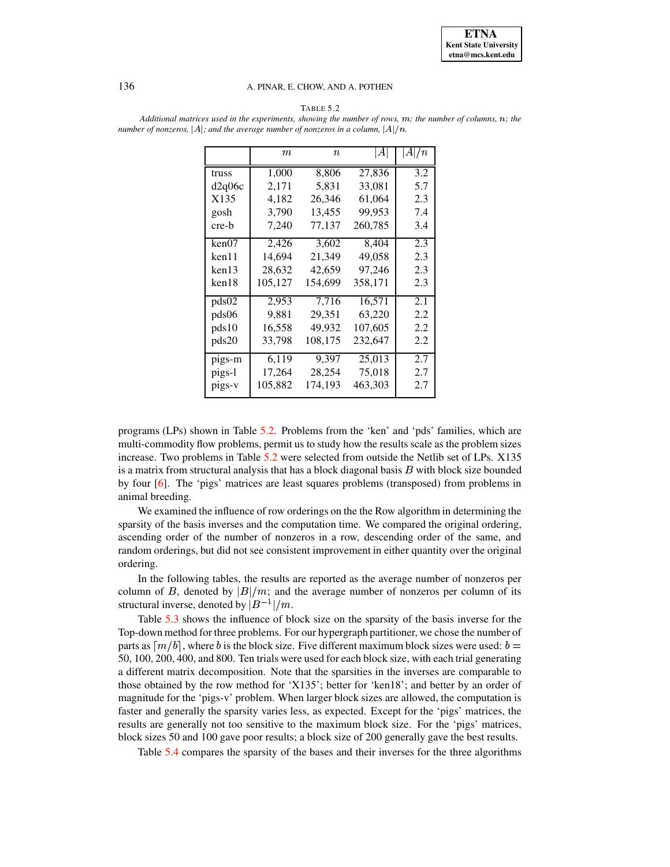#### 136 A. PINAR, E. CHOW, AND A. POTHEN

Additional matrices used in the experiments, showing the number of rows,  $m$ ; the number of columns,  $n$ ; the

| ABL.<br>٠ |
|-----------|
|-----------|

<span id="page-14-0"></span>*number of nonzeros*,  $|A|$ *; and the average number of nonzeros in a column,*  $|A|/n$ .  $m$   $n$   $|A| |A|/n$ truss 1,000 8,806 27,836 3.2 d2q06c 2,171 5,831 33,081 5.7 X135 4,182 26,346 61,064 2.3

| d2q06c | 2,171   | 5,831   | 33,081  | 5.7 |
|--------|---------|---------|---------|-----|
| X135   | 4,182   | 26,346  | 61,064  | 2.3 |
| gosh   | 3,790   | 13,455  | 99,953  | 7.4 |
| cre-b  | 7,240   | 77,137  | 260,785 | 3.4 |
| ken07  | 2,426   | 3,602   | 8,404   | 2.3 |
| ken 11 | 14,694  | 21,349  | 49.058  | 2.3 |
| ken 13 | 28.632  | 42,659  | 97,246  | 2.3 |
| ken18  | 105,127 | 154,699 | 358,171 | 2.3 |
| pds02  | 2.953   | 7.716   | 16.571  | 2.1 |
| pds06  | 9.881   | 29,351  | 63,220  | 2.2 |
| pds10  | 16,558  | 49,932  | 107,605 | 2.2 |
| pds20  | 33,798  | 108,175 | 232,647 | 2.2 |
| pigs-m | 6.119   | 9.397   | 25,013  | 2.7 |
| pigs-l | 17,264  | 28.254  | 75,018  | 2.7 |
| pigs-v | 105,882 | 174,193 | 463,303 | 2.7 |
|        |         |         |         |     |

programs (LPs) shown in Table [5.2.](#page-14-0) Problems from the 'ken' and 'pds' families, which are multi-commodity flow problems, permit us to study how the results scale as the problem sizes increase. Two problems in Table [5.2](#page-14-0) were selected from outside the Netlib set of LPs. X135 is a matrix from structural analysis that has a block diagonal basis  $B$  with block size bounded by four [\[6\]](#page-22-0). The 'pigs' matrices are least squares problems (transposed) from problems in animal breeding.

We examined the influence of row orderings on the the Row algorithm in determining the sparsity of the basis inverses and the computation time. We compared the original ordering, ascending order of the number of nonzeros in a row, descending order of the same, and random orderings, but did not see consistent improvement in either quantity over the original ordering.

In the following tables, the results are reported as the average number of nonzeros per column of B, denoted by  $|B|/m$ ; and the average number of nonzeros per column of its structural inverse, denoted by  $|B^{-1}|/m$ .

Table [5.3](#page-15-0) shows the influence of block size on the sparsity of the basis inverse for the Top-down method for three problems. For our hypergraph partitioner, we chose the number of parts as  $\lceil m/b \rceil$ , where b is the block size. Five different maximum block sizes were used: b = 50, 100, 200, 400, and 800. Ten trials were used for each block size, with each trial generating a different matrix decomposition. Note that the sparsities in the inverses are comparable to those obtained by the row method for 'X135'; better for 'ken18'; and better by an order of magnitude for the 'pigs-v' problem. When larger block sizes are allowed, the computation is faster and generally the sparsity varies less, as expected. Except for the 'pigs' matrices, the results are generally not too sensitive to the maximum block size. For the 'pigs' matrices, block sizes 50 and 100 gave poor results; a block size of 200 generally gave the best results.

Table [5.4](#page-17-0) compares the sparsity of the bases and their inverses for the three algorithms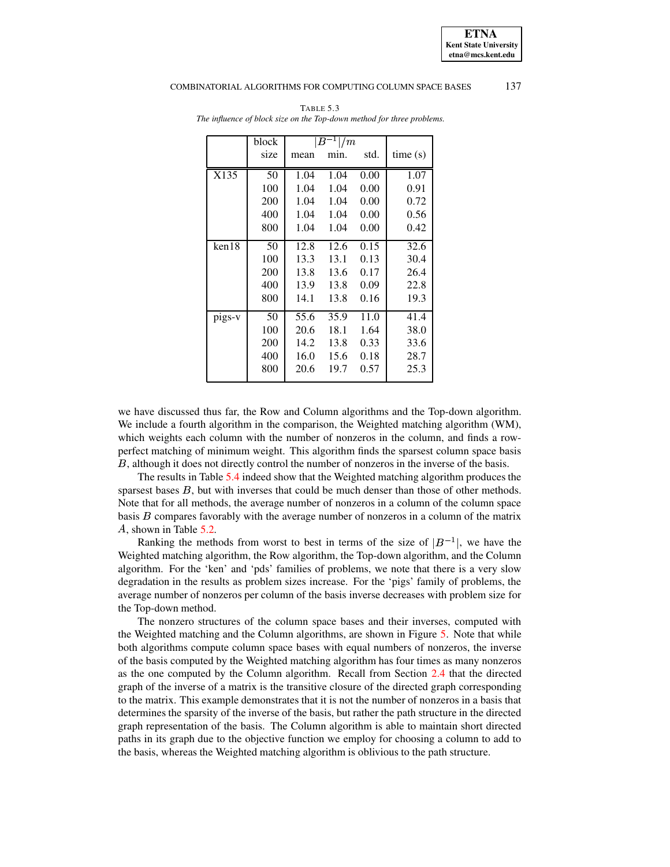#### <span id="page-15-0"></span>COMBINATORIAL ALGORITHMS FOR COMPUTING COLUMN SPACE BASES 137

|        | block | $ B^{-1} /m$ |      |      |         |
|--------|-------|--------------|------|------|---------|
|        | size  | mean         | min. | std. | time(s) |
| X135   | 50    | 1.04         | 1.04 | 0.00 | 1.07    |
|        | 100   | 1.04         | 1.04 | 0.00 | 0.91    |
|        | 200   | 1.04         | 1.04 | 0.00 | 0.72    |
|        | 400   | 1.04         | 1.04 | 0.00 | 0.56    |
|        | 800   | 1.04         | 1.04 | 0.00 | 0.42    |
| ken18  | 50    | 12.8         | 12.6 | 0.15 | 32.6    |
|        | 100   | 13.3         | 13.1 | 0.13 | 30.4    |
|        | 200   | 13.8         | 13.6 | 0.17 | 26.4    |
|        | 400   | 13.9         | 13.8 | 0.09 | 22.8    |
|        | 800   | 14.1         | 13.8 | 0.16 | 19.3    |
| pigs-v | 50    | 55.6         | 35.9 | 11.0 | 41.4    |
|        | 100   | 20.6         | 18.1 | 1.64 | 38.0    |
|        | 200   | 14.2         | 13.8 | 0.33 | 33.6    |
|        | 400   | 16.0         | 15.6 | 0.18 | 28.7    |
|        | 800   | 20.6         | 19.7 | 0.57 | 25.3    |

TABLE 5.3 *The influence of block size on the Top-down method for three problems.*

we have discussed thus far, the Row and Column algorithms and the Top-down algorithm. We include a fourth algorithm in the comparison, the Weighted matching algorithm (WM), which weights each column with the number of nonzeros in the column, and finds a rowperfect matching of minimum weight. This algorithm finds the sparsest column space basis B, although it does not directly control the number of nonzeros in the inverse of the basis.

The results in Table [5.4](#page-17-0) indeed show that the Weighted matching algorithm produces the sparsest bases  $B$ , but with inverses that could be much denser than those of other methods. Note that for all methods, the average number of nonzeros in a column of the column space basis  $B$  compares favorably with the average number of nonzeros in a column of the matrix , shown in Table [5.2.](#page-14-0)

Ranking the methods from worst to best in terms of the size of  $|B^{-1}|$ , we have the Weighted matching algorithm, the Row algorithm, the Top-down algorithm, and the Column algorithm. For the 'ken' and 'pds' families of problems, we note that there is a very slow degradation in the results as problem sizes increase. For the 'pigs' family of problems, the average number of nonzeros per column of the basis inverse decreases with problem size for the Top-down method.

The nonzero structures of the column space bases and their inverses, computed with the Weighted matching and the Column algorithms, are shown in Figure [5.](#page-15-0) Note that while both algorithms compute column space bases with equal numbers of nonzeros, the inverse of the basis computed by the Weighted matching algorithm has four times as many nonzeros as the one computed by the Column algorithm. Recall from Section [2.4](#page-5-1) that the directed graph of the inverse of a matrix is the transitive closure of the directed graph corresponding to the matrix. This example demonstrates that it is not the number of nonzeros in a basis that determines the sparsity of the inverse of the basis, but rather the path structure in the directed graph representation of the basis. The Column algorithm is able to maintain short directed paths in its graph due to the objective function we employ for choosing a column to add to the basis, whereas the Weighted matching algorithm is oblivious to the path structure.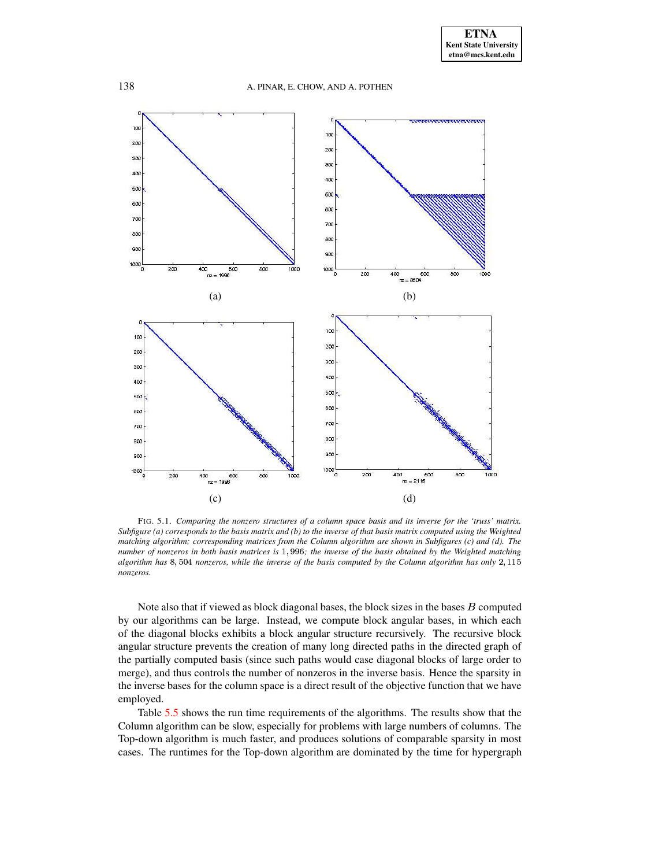

FIG. 5.1. *Comparing the nonzero structures of a column space basis and its inverse for the 'truss' matrix.* Subfigure (a) corresponds to the basis matrix and (b) to the inverse of that basis matrix computed using the Weighted *matching algorithm; corresponding matrices from the Column algorithm are shown in Subfigures (c) and (d). The* number of nonzeros in both basis matrices is 1,996; the inverse of the basis obtained by the Weighted matching *algorithm has* 8,504 *nonzeros, while the inverse of the basis computed by the Column algorithm has only* 2,115 *nonzeros.*

Note also that if viewed as block diagonal bases, the block sizes in the bases  $B$  computed by our algorithms can be large. Instead, we compute block angular bases, in which each of the diagonal blocks exhibits a block angular structure recursively. The recursive block angular structure prevents the creation of many long directed paths in the directed graph of the partially computed basis (since such paths would case diagonal blocks of large order to merge), and thus controls the number of nonzeros in the inverse basis. Hence the sparsity in the inverse bases for the column space is a direct result of the objective function that we have employed.

Table [5.5](#page-18-0) shows the run time requirements of the algorithms. The results show that the Column algorithm can be slow, especially for problems with large numbers of columns. The Top-down algorithm is much faster, and produces solutions of comparable sparsity in most cases. The runtimes for the Top-down algorithm are dominated by the time for hypergraph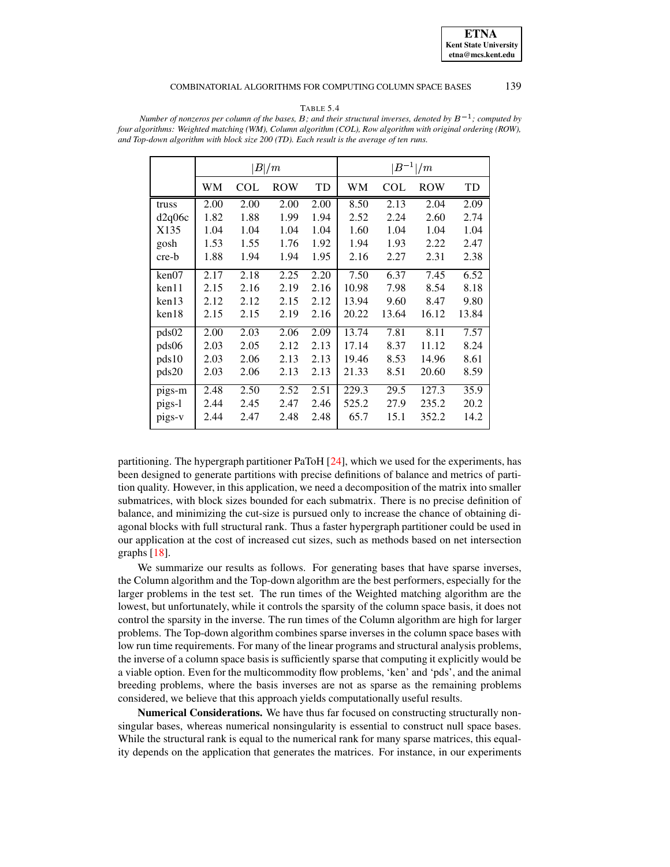### COMBINATORIAL ALGORITHMS FOR COMPUTING COLUMN SPACE BASES 139

#### TABLE 5.4

|        | B /m |      |            | $ B^{-1} /m$ |       |            |            |       |
|--------|------|------|------------|--------------|-------|------------|------------|-------|
|        | WМ   | COL  | <b>ROW</b> | TD           | WМ    | <b>COL</b> | <b>ROW</b> | TD    |
| truss  | 2.00 | 2.00 | 2.00       | 2.00         | 8.50  | 2.13       | 2.04       | 2.09  |
| d2q06c | 1.82 | 1.88 | 1.99       | 1.94         | 2.52  | 2.24       | 2.60       | 2.74  |
| X135   | 1.04 | 1.04 | 1.04       | 1.04         | 1.60  | 1.04       | 1.04       | 1.04  |
| gosh   | 1.53 | 1.55 | 1.76       | 1.92         | 1.94  | 1.93       | 2.22       | 2.47  |
| cre-b  | 1.88 | 1.94 | 1.94       | 1.95         | 2.16  | 2.27       | 2.31       | 2.38  |
| ken07  | 2.17 | 2.18 | 2.25       | 2.20         | 7.50  | 6.37       | 7.45       | 6.52  |
| ken11  | 2.15 | 2.16 | 2.19       | 2.16         | 10.98 | 7.98       | 8.54       | 8.18  |
| ken13  | 2.12 | 2.12 | 2.15       | 2.12         | 13.94 | 9.60       | 8.47       | 9.80  |
| ken18  | 2.15 | 2.15 | 2.19       | 2.16         | 20.22 | 13.64      | 16.12      | 13.84 |
| pds02  | 2.00 | 2.03 | 2.06       | 2.09         | 13.74 | 7.81       | 8.11       | 7.57  |
| pds06  | 2.03 | 2.05 | 2.12       | 2.13         | 17.14 | 8.37       | 11.12      | 8.24  |
| pds10  | 2.03 | 2.06 | 2.13       | 2.13         | 19.46 | 8.53       | 14.96      | 8.61  |
| pds20  | 2.03 | 2.06 | 2.13       | 2.13         | 21.33 | 8.51       | 20.60      | 8.59  |
| pigs-m | 2.48 | 2.50 | 2.52       | 2.51         | 229.3 | 29.5       | 127.3      | 35.9  |
| pigs-1 | 2.44 | 2.45 | 2.47       | 2.46         | 525.2 | 27.9       | 235.2      | 20.2  |
| pigs-v | 2.44 | 2.47 | 2.48       | 2.48         | 65.7  | 15.1       | 352.2      | 14.2  |

<span id="page-17-0"></span>Number of nonzeros per column of the bases, B; and their structural inverses, denoted by  $B^{-1}$ ; computed by *four algorithms: Weighted matching (WM), Column algorithm (COL), Row algorithm with original ordering (ROW), and Top-down algorithm with block size 200 (TD). Each result is the average of ten runs.*

partitioning. The hypergraph partitioner PaToH [\[24\]](#page-23-9), which we used for the experiments, has been designed to generate partitions with precise definitions of balance and metrics of partition quality. However, in this application, we need a decomposition of the matrix into smaller submatrices, with block sizes bounded for each submatrix. There is no precise definition of balance, and minimizing the cut-size is pursued only to increase the chance of obtaining diagonal blocks with full structural rank. Thus a faster hypergraph partitioner could be used in our application at the cost of increased cut sizes, such as methods based on net intersection graphs [\[18\]](#page-23-7).

We summarize our results as follows. For generating bases that have sparse inverses, the Column algorithm and the Top-down algorithm are the best performers, especially for the larger problems in the test set. The run times of the Weighted matching algorithm are the lowest, but unfortunately, while it controls the sparsity of the column space basis, it does not control the sparsity in the inverse. The run times of the Column algorithm are high for larger problems. The Top-down algorithm combines sparse inverses in the column space bases with low run time requirements. For many of the linear programs and structural analysis problems, the inverse of a column space basis is sufficiently sparse that computing it explicitly would be a viable option. Even for the multicommodity flow problems, 'ken' and 'pds', and the animal breeding problems, where the basis inverses are not as sparse as the remaining problems considered, we believe that this approach yields computationally useful results.

**Numerical Considerations.** We have thus far focused on constructing structurally nonsingular bases, whereas numerical nonsingularity is essential to construct null space bases. While the structural rank is equal to the numerical rank for many sparse matrices, this equality depends on the application that generates the matrices. For instance, in our experiments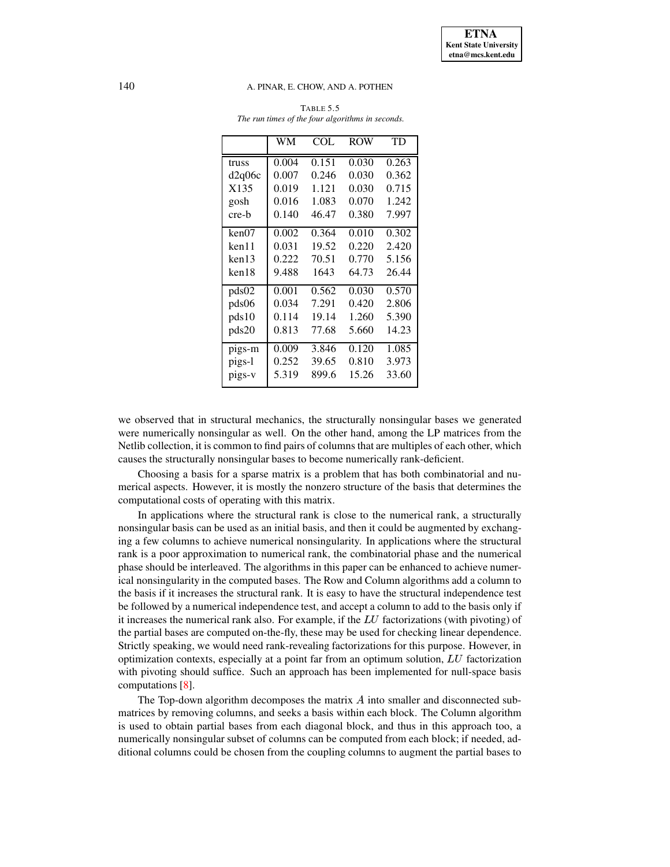## <span id="page-18-0"></span>140 A. PINAR, E. CHOW, AND A. POTHEN

| <b>TABLE 5.5</b>                                 |  |  |  |  |  |  |
|--------------------------------------------------|--|--|--|--|--|--|
| The run times of the four algorithms in seconds. |  |  |  |  |  |  |

|                   | WМ    | COL.  | <b>ROW</b> | <b>TD</b> |
|-------------------|-------|-------|------------|-----------|
| truss             | 0.004 | 0.151 | 0.030      | 0.263     |
| d2q06c            | 0.007 | 0.246 | 0.030      | 0.362     |
| X <sub>1</sub> 35 | 0.019 | 1.121 | 0.030      | 0.715     |
| gosh              | 0.016 | 1.083 | 0.070      | 1.242     |
| cre-b             | 0.140 | 46.47 | 0.380      | 7.997     |
| ken07             | 0.002 | 0.364 | 0.010      | 0.302     |
| ken11             | 0.031 | 19.52 | 0.220      | 2.420     |
| ken13             | 0.222 | 70.51 | 0.770      | 5.156     |
| ken18             | 9.488 | 1643  | 64.73      | 26.44     |
| pds02             | 0.001 | 0.562 | 0.030      | 0.570     |
| pds06             | 0.034 | 7.291 | 0.420      | 2.806     |
| pds10             | 0.114 | 19.14 | 1.260      | 5.390     |
| pds20             | 0.813 | 77.68 | 5.660      | 14.23     |
| pigs-m            | 0.009 | 3.846 | 0.120      | 1.085     |
| pigs-l            | 0.252 | 39.65 | 0.810      | 3.973     |
| pigs-v            | 5.319 | 899.6 | 15.26      | 33.60     |

we observed that in structural mechanics, the structurally nonsingular bases we generated were numerically nonsingular as well. On the other hand, among the LP matrices from the Netlib collection, it is common to find pairs of columns that are multiples of each other, which causes the structurally nonsingular bases to become numerically rank-deficient.

Choosing a basis for a sparse matrix is a problem that has both combinatorial and numerical aspects. However, it is mostly the nonzero structure of the basis that determines the computational costs of operating with this matrix.

In applications where the structural rank is close to the numerical rank, a structurally nonsingular basis can be used as an initial basis, and then it could be augmented by exchanging a few columns to achieve numerical nonsingularity. In applications where the structural rank is a poor approximation to numerical rank, the combinatorial phase and the numerical phase should be interleaved. The algorithms in this paper can be enhanced to achieve numerical nonsingularity in the computed bases. The Row and Column algorithms add a column to the basis if it increases the structural rank. It is easy to have the structural independence test be followed by a numerical independence test, and accept a column to add to the basis only if it increases the numerical rank also. For example, if the  $LU$  factorizations (with pivoting) of the partial bases are computed on-the-fly, these may be used for checking linear dependence. Strictly speaking, we would need rank-revealing factorizations for this purpose. However, in optimization contexts, especially at a point far from an optimum solution,  $LU$  factorization with pivoting should suffice. Such an approach has been implemented for null-space basis computations [\[8\]](#page-22-6).

The Top-down algorithm decomposes the matrix  $\vec{A}$  into smaller and disconnected submatrices by removing columns, and seeks a basis within each block. The Column algorithm is used to obtain partial bases from each diagonal block, and thus in this approach too, a numerically nonsingular subset of columns can be computed from each block; if needed, additional columns could be chosen from the coupling columns to augment the partial bases to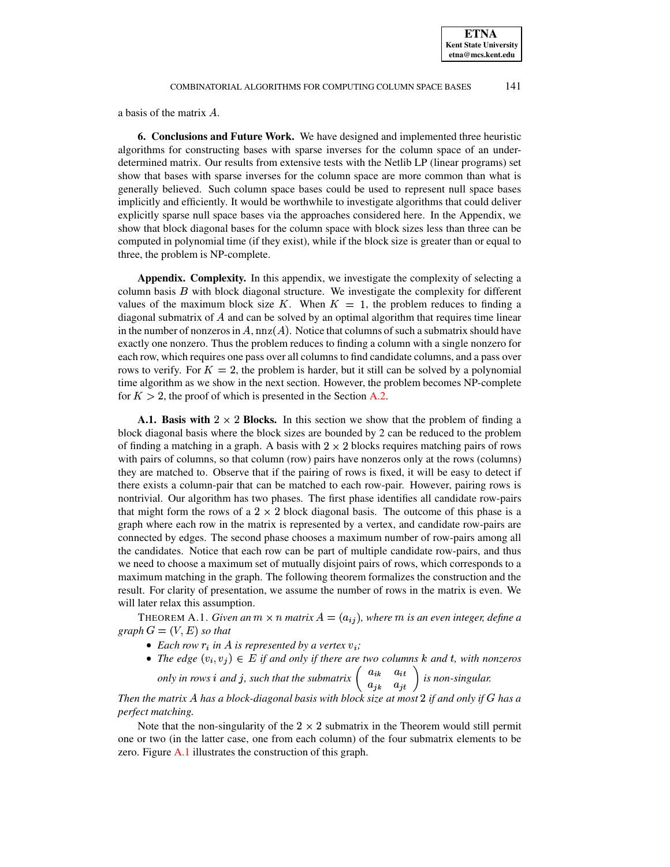a basis of the matrix  $A$ .

**6. Conclusions and Future Work.** We have designed and implemented three heuristic algorithms for constructing bases with sparse inverses for the column space of an underdetermined matrix. Our results from extensive tests with the Netlib LP (linear programs) set show that bases with sparse inverses for the column space are more common than what is generally believed. Such column space bases could be used to represent null space bases implicitly and efficiently. It would be worthwhile to investigate algorithms that could deliver explicitly sparse null space bases via the approaches considered here. In the Appendix, we show that block diagonal bases for the column space with block sizes less than three can be computed in polynomial time (if they exist), while if the block size is greater than or equal to three, the problem is NP-complete.

<span id="page-19-0"></span>**Appendix. Complexity.** In this appendix, we investigate the complexity of selecting a column basis  $B$  with block diagonal structure. We investigate the complexity for different values of the maximum block size K. When  $K = 1$ , the problem reduces to finding a diagonal submatrix of  $A$  and can be solved by an optimal algorithm that requires time linear in the number of nonzeros in A,  $nnz(A)$ . Notice that columns of such a submatrix should have exactly one nonzero. Thus the problem reduces to finding a column with a single nonzero for each row, which requires one pass over all columns to find candidate columns, and a pass over rows to verify. For  $K = 2$ , the problem is harder, but it still can be solved by a polynomial time algorithm as we show in the next section. However, the problem becomes NP-complete for  $K > 2$ , the proof of which is presented in the Section [A.2.](#page-20-0)

**A.1. Basis with**  $2 \times 2$  **Blocks.** In this section we show that the problem of finding a block diagonal basis where the block sizes are bounded by 2 can be reduced to the problem of finding a matching in a graph. A basis with  $2 \times 2$  blocks requires matching pairs of rows with pairs of columns, so that column (row) pairs have nonzeros only at the rows (columns) they are matched to. Observe that if the pairing of rows is fixed, it will be easy to detect if there exists a column-pair that can be matched to each row-pair. However, pairing rows is nontrivial. Our algorithm has two phases. The first phase identifies all candidate row-pairs that might form the rows of a  $2 \times 2$  block diagonal basis. The outcome of this phase is a graph where each row in the matrix is represented by a vertex, and candidate row-pairs are connected by edges. The second phase chooses a maximum number of row-pairs among all the candidates. Notice that each row can be part of multiple candidate row-pairs, and thus we need to choose a maximum set of mutually disjoint pairs of rows, which corresponds to a maximum matching in the graph. The following theorem formalizes the construction and the result. For clarity of presentation, we assume the number of rows in the matrix is even. We will later relax this assumption.

<span id="page-19-1"></span>THEOREM A.1. *Given an*  $m \times n$  *matrix*  $A = (a_{ij})$ *, where*  $m$  *is an even integer, define a*  $graph G = (V, E)$  *so that* 

- Each row  $r_i$  in A is represented by a vertex  $v_i$ ;
- The edge  $(v_i, v_j) \in E$  if and only if there are two columns k and t, with nonzeros

based only in rows i and j, such that the submatrix  $\begin{pmatrix} a_{ik} & a_{it} \\ a_{it} & a_{it} \end{pmatrix}$  is non-singular.

*Then the matrix has a block-diagonal basis with block size at most* F *if and only if has a perfect matching.*

Note that the non-singularity of the  $2 \times 2$  submatrix in the Theorem would still permit one or two (in the latter case, one from each column) of the four submatrix elements to be zero. Figure [A.1](#page-19-1) illustrates the construction of this graph.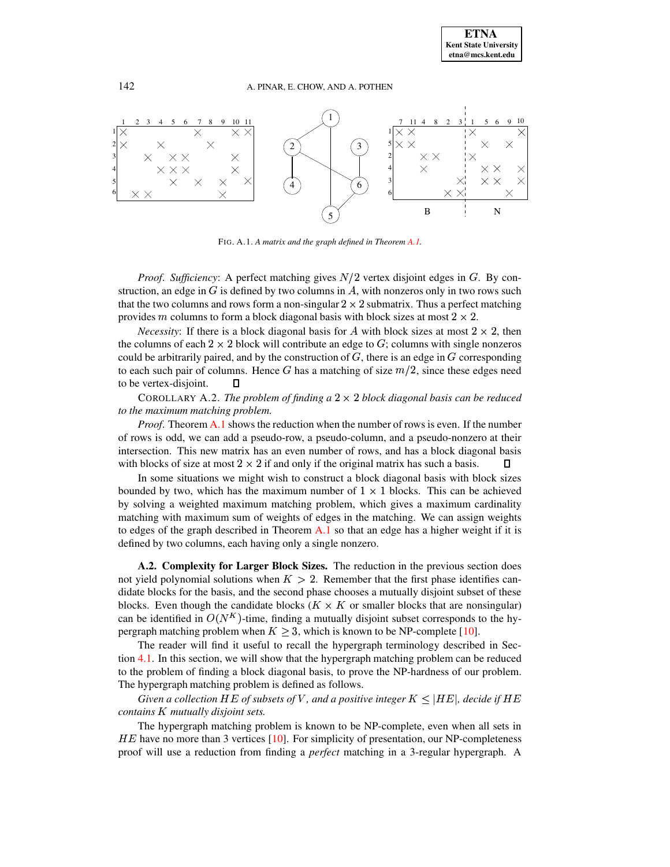

FIG. A.1. *A matrix and the graph defined in Theorem [A.1.](#page-19-1)*

*Proof. Sufficiency:* A perfect matching gives  $N/2$  vertex disjoint edges in  $G$ . By construction, an edge in  $G$  is defined by two columns in  $A$ , with nonzeros only in two rows such that the two columns and rows form a non-singular  $2 \times 2$  submatrix. Thus a perfect matching provides *m* columns to form a block diagonal basis with block sizes at most  $2 \times 2$ .

*Necessity*: If there is a block diagonal basis for A with block sizes at most  $2 \times 2$ , then the columns of each  $2 \times 2$  block will contribute an edge to  $G$ ; columns with single nonzeros could be arbitrarily paired, and by the construction of  $G$ , there is an edge in  $G$  corresponding to each such pair of columns. Hence G has a matching of size  $m/2$ , since these edges need to be vertex-disjoint.  $\Box$ 

COROLLARY A.2. *The problem of finding*  $a \times 2 \times 2$  *block diagonal basis can be reduced to the maximum matching problem.*

*Proof*. Theorem [A.1](#page-19-1) shows the reduction when the number of rows is even. If the number of rows is odd, we can add a pseudo-row, a pseudo-column, and a pseudo-nonzero at their intersection. This new matrix has an even number of rows, and has a block diagonal basis with blocks of size at most  $2 \times 2$  if and only if the original matrix has such a basis.  $\Box$ 

In some situations we might wish to construct a block diagonal basis with block sizes bounded by two, which has the maximum number of  $1 \times 1$  blocks. This can be achieved by solving a weighted maximum matching problem, which gives a maximum cardinality matching with maximum sum of weights of edges in the matching. We can assign weights to edges of the graph described in Theorem [A.1](#page-19-1) so that an edge has a higher weight if it is defined by two columns, each having only a single nonzero.

<span id="page-20-0"></span>**A.2. Complexity for Larger Block Sizes.** The reduction in the previous section does not yield polynomial solutions when  $K > 2$ . Remember that the first phase identifies candidate blocks for the basis, and the second phase chooses a mutually disjoint subset of these blocks. Even though the candidate blocks ( $K \times K$  or smaller blocks that are nonsingular) can be identified in  $O(N^K)$ -time, finding a mutually disjoint subset corresponds to the hypergraph matching problem when  $K \geq 3$ , which is known to be NP-complete [\[10\]](#page-22-11).

The reader will find it useful to recall the hypergraph terminology described in Section [4.1.](#page-11-1) In this section, we will show that the hypergraph matching problem can be reduced to the problem of finding a block diagonal basis, to prove the NP-hardness of our problem. The hypergraph matching problem is defined as follows.

 $G$ iven a collection  $HE$  of subsets of  $V$  , and a positive integer  $K \leq |HE|$ , decide if  $HE$ *contains* K *mutually disjoint sets.* 

The hypergraph matching problem is known to be NP-complete, even when all sets in  $HE$  have no more than 3 vertices [\[10\]](#page-22-11). For simplicity of presentation, our NP-completeness ] proof will use a reduction from finding a *perfect* matching in a 3-regular hypergraph. A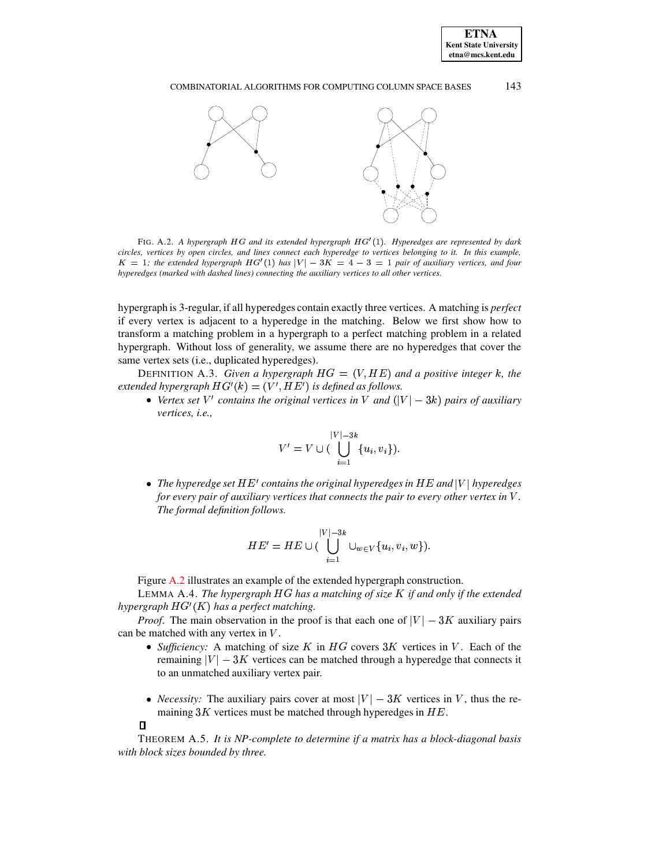## COMBINATORIAL ALGORITHMS FOR COMPUTING COLUMN SPACE BASES 143



<span id="page-21-0"></span>FIG. A.2. *A hypergraph* HG and its extended *hypergraph* HG'(1). Hyperedges are represented by dark circles, vertices by open circles, and lines connect each hyperedge to vertices belonging to it. In this example,  $K = 1$ ; the extended hypergraph  $HG'(1)$  has  $|V| - 3K = 4 - 3 = 1$  pair of auxiliary vertices, and four *hyperedges (marked with dashed lines) connecting the auxiliary vertices to all other vertices.*

hypergraph is 3-regular, if all hyperedges contain exactly three vertices. A matching is *perfect* if every vertex is adjacent to a hyperedge in the matching. Below we first show how to transform a matching problem in a hypergraph to a perfect matching problem in a related hypergraph. Without loss of generality, we assume there are no hyperedges that cover the same vertex sets (i.e., duplicated hyperedges).

DEFINITION A.3. *Given a hypergraph*  $HG = (V, HE)$  *and* extended hypergraph  $HG'(k) = (V', HE')$  is defined as follows.  $(V, HE)$  and a positive integer  $k$ , the  $\mathcal{U}(k) = (V', HE')$  is defined as follows.

• Vertex set V' contains the original vertices in V and  $(|V| - 3k)$  pairs of auxiliary *vertices, i.e.,*

$$
V' = V \cup \big( \bigcup_{i=1}^{|V|-3k} \{u_i, v_i\} \big).
$$

 $\bullet$  *The hyperedge set*  $HE'$  *contains the original hyperedges in*  $HE$  *and*  $|V|$  *hyperedges* ] ] *for every pair of auxiliary vertices that connects the pair to every other vertex in* [*. The formal definition follows.*

$$
HE'=HE\cup(\bigcup_{i=1}^{|V|-3k}\cup_{w\in V}\{u_i,v_i,w\}).
$$

Figure [A.2](#page-21-0) illustrates an example of the extended hypergraph construction.

<span id="page-21-1"></span>LEMMA A.4. *The hypergraph HG has a matching of size K if and only if the extended hypergraph*  $HG'(K)$  *has a perfe*  $P(K)$  has a perfect matching.

*Proof.* The main observation in the proof is that each one of  $|V| - 3K$  auxiliary pairs can be matched with any vertex in  $V$ .

- Sufficiency: A matching of size  $K$  in  $HG$  covers  $3K$  vertices in  $V$ . Each of the remaining  $|V| - 3K$  vertices can be matched through a hyperedge that connects it to an unmatched auxiliary vertex pair.
- *Necessity:* The auxiliary pairs cover at most  $|V| 3K$  vertices in V, thus the remaining  $3K$  vertices must be matched through hyperedges in  $HE$ .

## $\Box$

THEOREM A.5. *It is NP-complete to determine if a matrix has a block-diagonal basis with block sizes bounded by three.*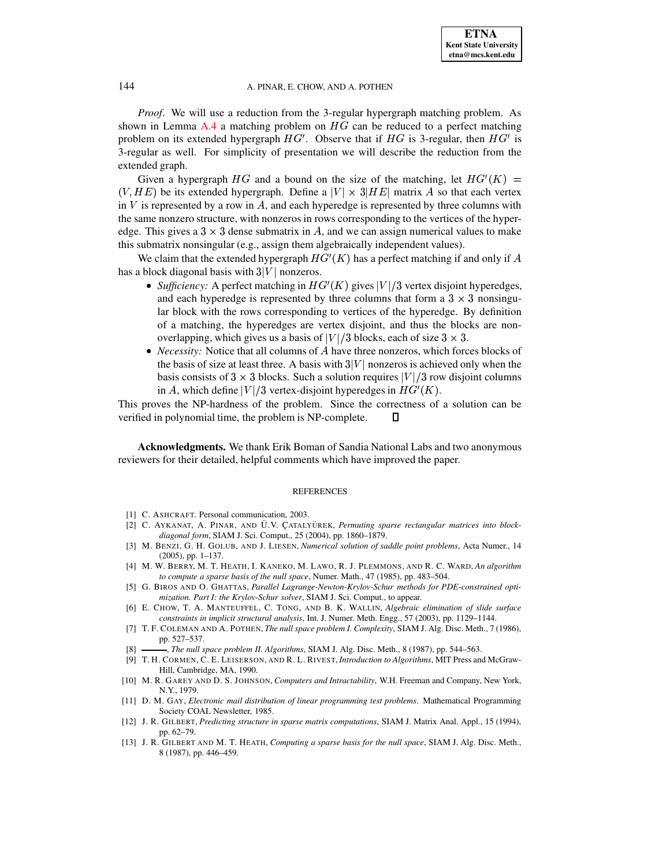*Proof*. We will use a reduction from the 3-regular hypergraph matching problem. As shown in Lemma  $A.4$  a matching problem on  $HG$  can be reduced to a perfect matching problem on its extended hypergraph  $HG'$ . Observe that if  $HG$  is 3-regular, then  $HG'$  is 3-regular as well. For simplicity of presentation we will describe the reduction from the extended graph.

Given a hypergraph HG and a bound on the size of the matching, let  $HG'(K) =$  $\epsilon$  experiments to the contract of  $\epsilon$ be its extended hypergraph. Define a  $|V| \times 3|HE|$  matrix A so that each vertex in V is represented by a row in A, and each hyperedge is represented by three columns with the same nonzero structure, with nonzeros in rows corresponding to the vertices of the hyperedge. This gives a  $3 \times 3$  dense submatrix in A, and we can assign numerical values to make this submatrix nonsingular (e.g., assign them algebraically independent values).

We claim that the extended hypergraph  $HG'(K)$  has a perfed  $C(K)$  has a perfect matching if and only if A has a block diagonal basis with  $3|V|$  nonzeros.

- *Sufficiency:* A perfect matching in  $HG'(K)$  gives  $|V|/3$  $\mathcal{C}(K)$  gives  $|V|/3$  vertex disjoint hyperedges, and each hyperedge is represented by three columns that form a  $3 \times 3$  nonsingular block with the rows corresponding to vertices of the hyperedge. By definition of a matching, the hyperedges are vertex disjoint, and thus the blocks are nonoverlapping, which gives us a basis of  $|V|/3$  blocks, each of size  $3 \times 3$ .
- *Necessity:* Notice that all columns of  $A$  have three nonzeros, which forces blocks of the basis of size at least three. A basis with  $3|V|$  nonzeros is achieved only when the basis consists of  $3 \times 3$  blocks. Such a solution requires  $|V|/3$  row disjoint columns in A, which define  $|V|/3$  vertex-disjoint hyperedges in  $HG'(K)$ .  $\prime(K).$

This proves the NP-hardness of the problem. Since the correctness of a solution can be verified in polynomial time, the problem is NP-complete. 0

**Acknowledgments.** We thank Erik Boman of Sandia National Labs and two anonymous reviewers for their detailed, helpful comments which have improved the paper.

#### **REFERENCES**

- <span id="page-22-9"></span>[1] C. ASHCRAFT. Personal communication, 2003.
- [2] C. AYKANAT, A. PINAR, AND U.V. ÇATALYÜREK, *Permuting sparse rectangular matrices into blockdiagonal form*, SIAM J. Sci. Comput., 25 (2004), pp. 1860–1879.
- <span id="page-22-1"></span>[3] M. BENZI, G. H. GOLUB, AND J. LIESEN, *Numerical solution of saddle point problems*, Acta Numer., 14 (2005), pp. 1–137.
- <span id="page-22-4"></span>[4] M. W. BERRY, M. T. HEATH, I. KANEKO, M. LAWO, R. J. PLEMMONS, AND R. C. WARD, *An algorithm to compute a sparse basis of the null space*, Numer. Math., 47 (1985), pp. 483–504.
- <span id="page-22-2"></span>[5] G. BIROS AND O. GHATTAS, *Parallel Lagrange-Newton-Krylov-Schur methods for PDE-constrained optimization. Part I: the Krylov-Schur solver*, SIAM J. Sci. Comput., to appear.
- <span id="page-22-0"></span>[6] E. CHOW, T. A. MANTEUFFEL, C. TONG, AND B. K. WALLIN, *Algebraic elimination of slide surface constraints in implicit structural analysis*, Int. J. Numer. Meth. Engg., 57 (2003), pp. 1129–1144.
- <span id="page-22-3"></span>[7] T. F. COLEMAN AND A. POTHEN, *The null space problem I. Complexity*, SIAM J. Alg. Disc. Meth., 7 (1986), pp. 527–537.
- <span id="page-22-7"></span><span id="page-22-6"></span>[8] , *The null space problem II. Algorithms*, SIAM J. Alg. Disc. Meth., 8 (1987), pp. 544–563.
- [9] T. H. CORMEN, C. E. LEISERSON, AND R. L. RIVEST, *Introduction to Algorithms*, MIT Press and McGraw-Hill, Cambridge, MA, 1990.
- <span id="page-22-11"></span>[10] M. R. GAREY AND D. S. JOHNSON, *Computers and Intractability*, W.H. Freeman and Company, New York, N.Y., 1979.
- <span id="page-22-10"></span>[11] D. M. GAY, *Electronic mail distribution of linear programming test problems*. Mathematical Programming Society COAL Newsletter, 1985.
- <span id="page-22-8"></span>[12] J. R. GILBERT, *Predicting structure in sparse matrix computations*, SIAM J. Matrix Anal. Appl., 15 (1994), pp. 62–79.
- <span id="page-22-5"></span>[13] J. R. GILBERT AND M. T. HEATH, *Computing a sparse basis for the null space*, SIAM J. Alg. Disc. Meth., 8 (1987), pp. 446–459.